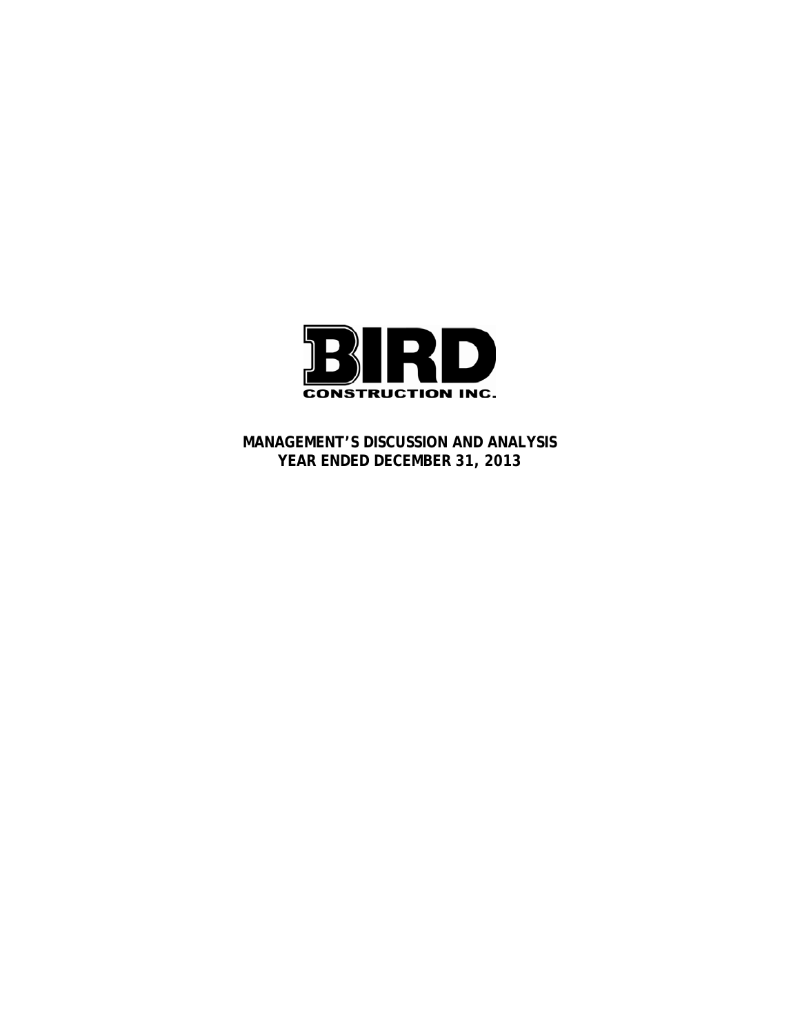

**MANAGEMENT'S DISCUSSION AND ANALYSIS YEAR ENDED DECEMBER 31, 2013**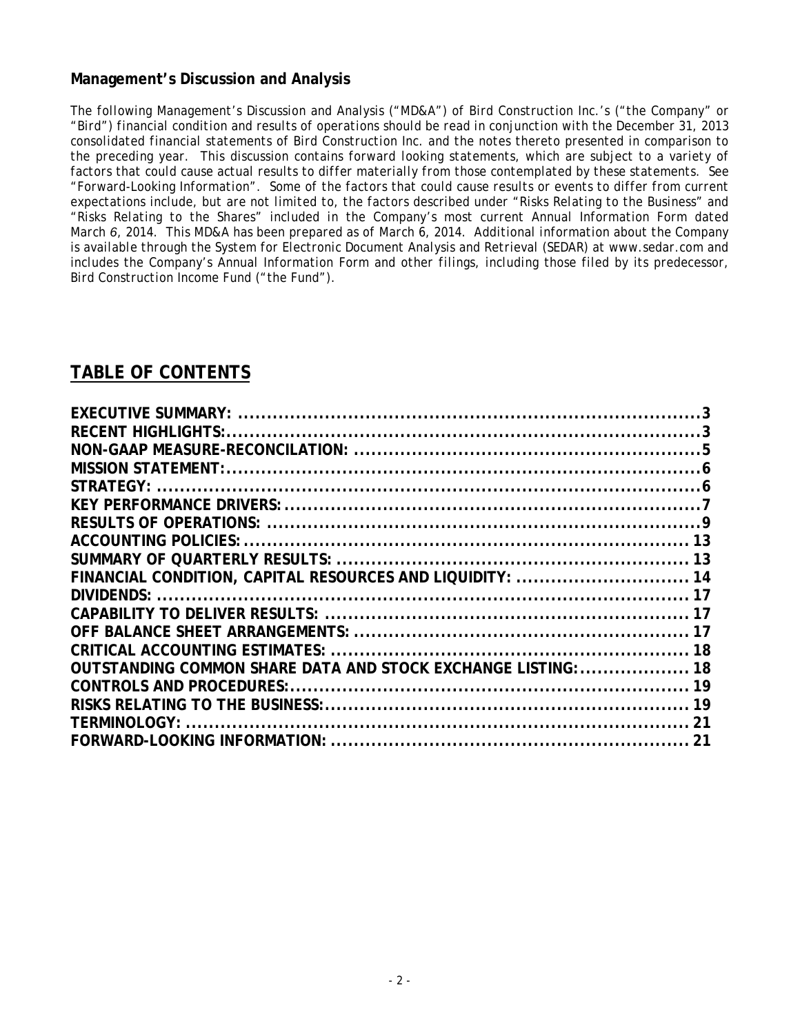# **Management's Discussion and Analysis**

*The following Management's Discussion and Analysis ("MD&A") of Bird Construction Inc.'s ("the Company" or "Bird") financial condition and results of operations should be read in conjunction with the December 31, 2013 consolidated financial statements of Bird Construction Inc. and the notes thereto presented in comparison to the preceding year. This discussion contains forward looking statements, which are subject to a variety of factors that could cause actual results to differ materially from those contemplated by these statements. See "Forward-Looking Information". Some of the factors that could cause results or events to differ from current expectations include, but are not limited to, the factors described under "Risks Relating to the Business" and "Risks Relating to the Shares" included in the Company's most current Annual Information Form dated March 6, 2014. This MD&A has been prepared as of March 6, 2014. Additional information about the Company is available through the System for Electronic Document Analysis and Retrieval (SEDAR) at www.sedar.com and includes the Company's Annual Information Form and other filings, including those filed by its predecessor, Bird Construction Income Fund ("the Fund").* 

# **TABLE OF CONTENTS**

| FINANCIAL CONDITION, CAPITAL RESOURCES AND LIQUIDITY:  14     |  |
|---------------------------------------------------------------|--|
|                                                               |  |
|                                                               |  |
|                                                               |  |
|                                                               |  |
| OUTSTANDING COMMON SHARE DATA AND STOCK EXCHANGE LISTING:  18 |  |
|                                                               |  |
|                                                               |  |
| TFRMINOLOGY:                                                  |  |
|                                                               |  |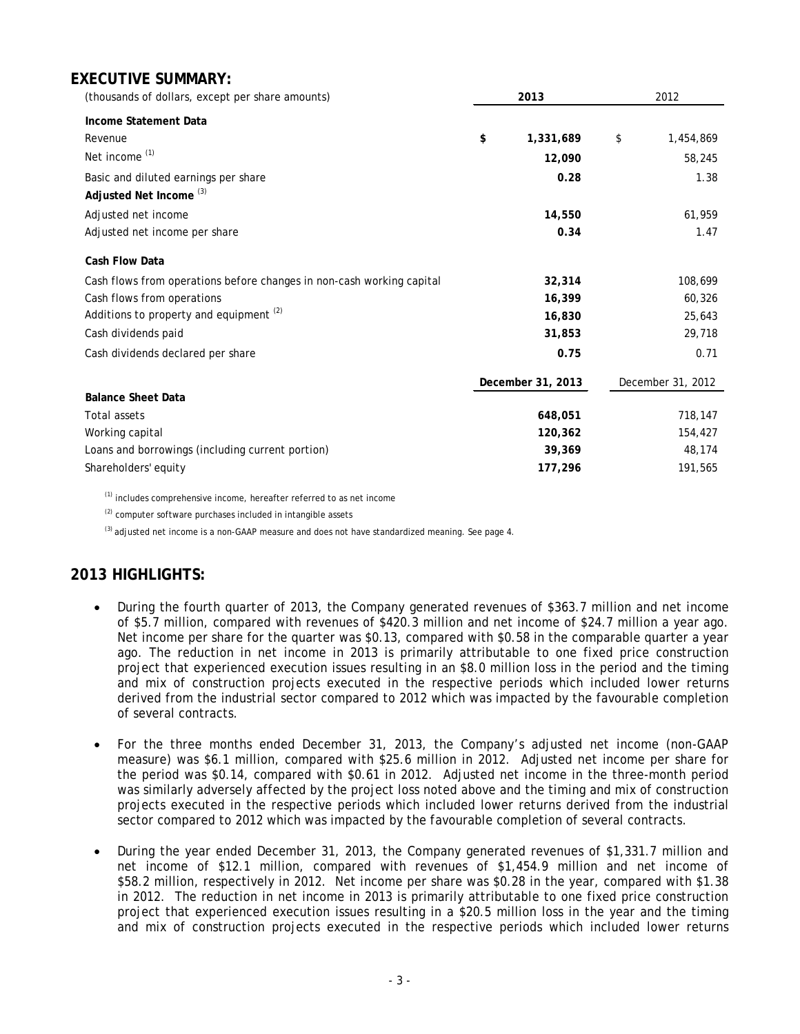# **EXECUTIVE SUMMARY:**

| (thousands of dollars, except per share amounts)                      | 2013              | 2012 |                   |
|-----------------------------------------------------------------------|-------------------|------|-------------------|
| <b>Income Statement Data</b>                                          |                   |      |                   |
| Revenue                                                               | \$<br>1,331,689   | \$   | 1,454,869         |
| Net income <sup>(1)</sup>                                             | 12,090            |      | 58,245            |
| Basic and diluted earnings per share                                  | 0.28              |      | 1.38              |
| Adjusted Net Income <sup>(3)</sup>                                    |                   |      |                   |
| Adjusted net income                                                   | 14,550            |      | 61,959            |
| Adjusted net income per share                                         | 0.34              |      | 1.47              |
| Cash Flow Data                                                        |                   |      |                   |
| Cash flows from operations before changes in non-cash working capital | 32,314            |      | 108,699           |
| Cash flows from operations                                            | 16,399            |      | 60,326            |
| Additions to property and equipment <sup>(2)</sup>                    | 16,830            |      | 25,643            |
| Cash dividends paid                                                   | 31,853            |      | 29,718            |
| Cash dividends declared per share                                     | 0.75              |      | 0.71              |
|                                                                       | December 31, 2013 |      | December 31, 2012 |
| <b>Balance Sheet Data</b>                                             |                   |      |                   |
| <b>Total assets</b>                                                   | 648,051           |      | 718,147           |
| Working capital                                                       | 120,362           |      | 154,427           |
| Loans and borrowings (including current portion)                      | 39,369            |      | 48,174            |
| Shareholders' equity                                                  | 177,296           |      | 191,565           |

(1) includes comprehensive income, hereafter referred to as net income

(2) computer software purchases included in intangible assets

 $^{(3)}$  adjusted net income is a non-GAAP measure and does not have standardized meaning. See page 4.

# **2013 HIGHLIGHTS:**

- During the fourth quarter of 2013, the Company generated revenues of \$363.7 million and net income of \$5.7 million, compared with revenues of \$420.3 million and net income of \$24.7 million a year ago. Net income per share for the quarter was \$0.13, compared with \$0.58 in the comparable quarter a year ago. The reduction in net income in 2013 is primarily attributable to one fixed price construction project that experienced execution issues resulting in an \$8.0 million loss in the period and the timing and mix of construction projects executed in the respective periods which included lower returns derived from the industrial sector compared to 2012 which was impacted by the favourable completion of several contracts.
- For the three months ended December 31, 2013, the Company's adjusted net income (non-GAAP measure) was \$6.1 million, compared with \$25.6 million in 2012. Adjusted net income per share for the period was \$0.14, compared with \$0.61 in 2012. Adjusted net income in the three-month period was similarly adversely affected by the project loss noted above and the timing and mix of construction projects executed in the respective periods which included lower returns derived from the industrial sector compared to 2012 which was impacted by the favourable completion of several contracts.
- During the year ended December 31, 2013, the Company generated revenues of \$1,331.7 million and net income of \$12.1 million, compared with revenues of \$1,454.9 million and net income of \$58.2 million, respectively in 2012. Net income per share was \$0.28 in the year, compared with \$1.38 in 2012. The reduction in net income in 2013 is primarily attributable to one fixed price construction project that experienced execution issues resulting in a \$20.5 million loss in the year and the timing and mix of construction projects executed in the respective periods which included lower returns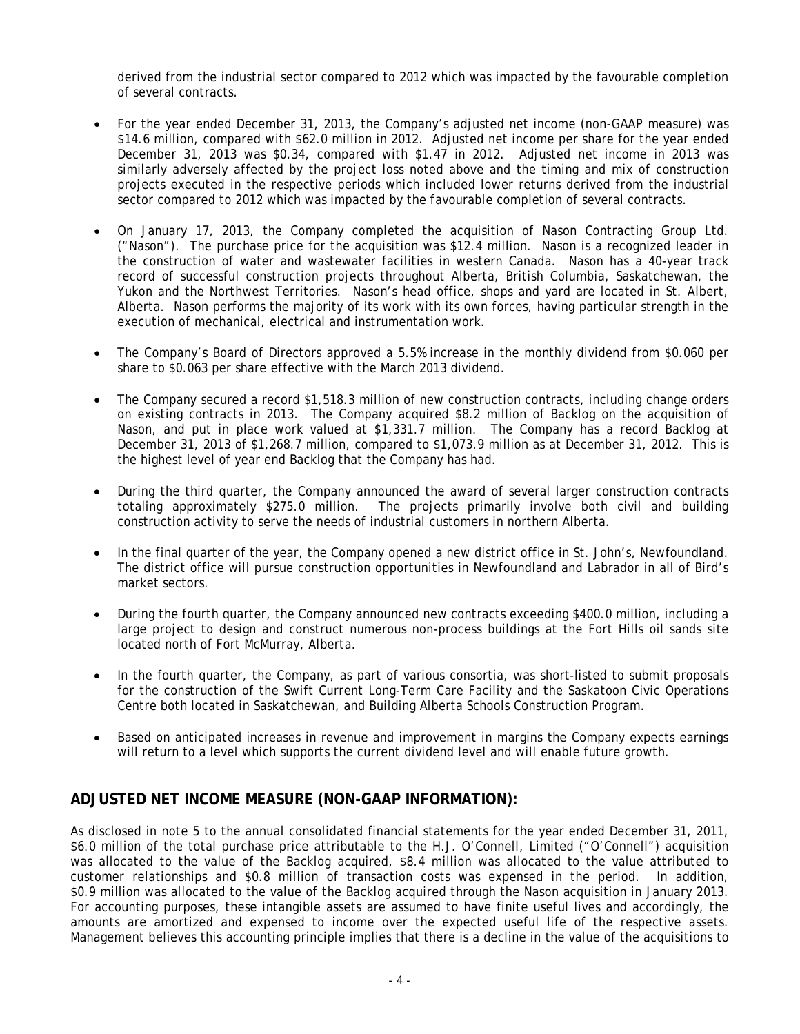derived from the industrial sector compared to 2012 which was impacted by the favourable completion of several contracts.

- For the year ended December 31, 2013, the Company's adjusted net income (non-GAAP measure) was \$14.6 million, compared with \$62.0 million in 2012. Adjusted net income per share for the year ended December 31, 2013 was \$0.34, compared with \$1.47 in 2012. Adjusted net income in 2013 was similarly adversely affected by the project loss noted above and the timing and mix of construction projects executed in the respective periods which included lower returns derived from the industrial sector compared to 2012 which was impacted by the favourable completion of several contracts.
- On January 17, 2013, the Company completed the acquisition of Nason Contracting Group Ltd. ("Nason"). The purchase price for the acquisition was \$12.4 million. Nason is a recognized leader in the construction of water and wastewater facilities in western Canada. Nason has a 40-year track record of successful construction projects throughout Alberta, British Columbia, Saskatchewan, the Yukon and the Northwest Territories. Nason's head office, shops and yard are located in St. Albert, Alberta. Nason performs the majority of its work with its own forces, having particular strength in the execution of mechanical, electrical and instrumentation work.
- The Company's Board of Directors approved a 5.5% increase in the monthly dividend from \$0.060 per share to \$0.063 per share effective with the March 2013 dividend.
- The Company secured a record \$1,518.3 million of new construction contracts, including change orders on existing contracts in 2013. The Company acquired \$8.2 million of Backlog on the acquisition of Nason, and put in place work valued at \$1,331.7 million. The Company has a record Backlog at December 31, 2013 of \$1,268.7 million, compared to \$1,073.9 million as at December 31, 2012. This is the highest level of year end Backlog that the Company has had.
- During the third quarter, the Company announced the award of several larger construction contracts totaling approximately \$275.0 million. The projects primarily involve both civil and building construction activity to serve the needs of industrial customers in northern Alberta.
- In the final quarter of the year, the Company opened a new district office in St. John's, Newfoundland. The district office will pursue construction opportunities in Newfoundland and Labrador in all of Bird's market sectors.
- During the fourth quarter, the Company announced new contracts exceeding \$400.0 million, including a large project to design and construct numerous non-process buildings at the Fort Hills oil sands site located north of Fort McMurray, Alberta.
- In the fourth quarter, the Company, as part of various consortia, was short-listed to submit proposals for the construction of the Swift Current Long-Term Care Facility and the Saskatoon Civic Operations Centre both located in Saskatchewan, and Building Alberta Schools Construction Program.
- Based on anticipated increases in revenue and improvement in margins the Company expects earnings will return to a level which supports the current dividend level and will enable future growth.

# **ADJUSTED NET INCOME MEASURE (NON-GAAP INFORMATION):**

As disclosed in note 5 to the annual consolidated financial statements for the year ended December 31, 2011, \$6.0 million of the total purchase price attributable to the H.J. O'Connell, Limited ("O'Connell") acquisition was allocated to the value of the Backlog acquired, \$8.4 million was allocated to the value attributed to customer relationships and \$0.8 million of transaction costs was expensed in the period. In addition, \$0.9 million was allocated to the value of the Backlog acquired through the Nason acquisition in January 2013. For accounting purposes, these intangible assets are assumed to have finite useful lives and accordingly, the amounts are amortized and expensed to income over the expected useful life of the respective assets. Management believes this accounting principle implies that there is a decline in the value of the acquisitions to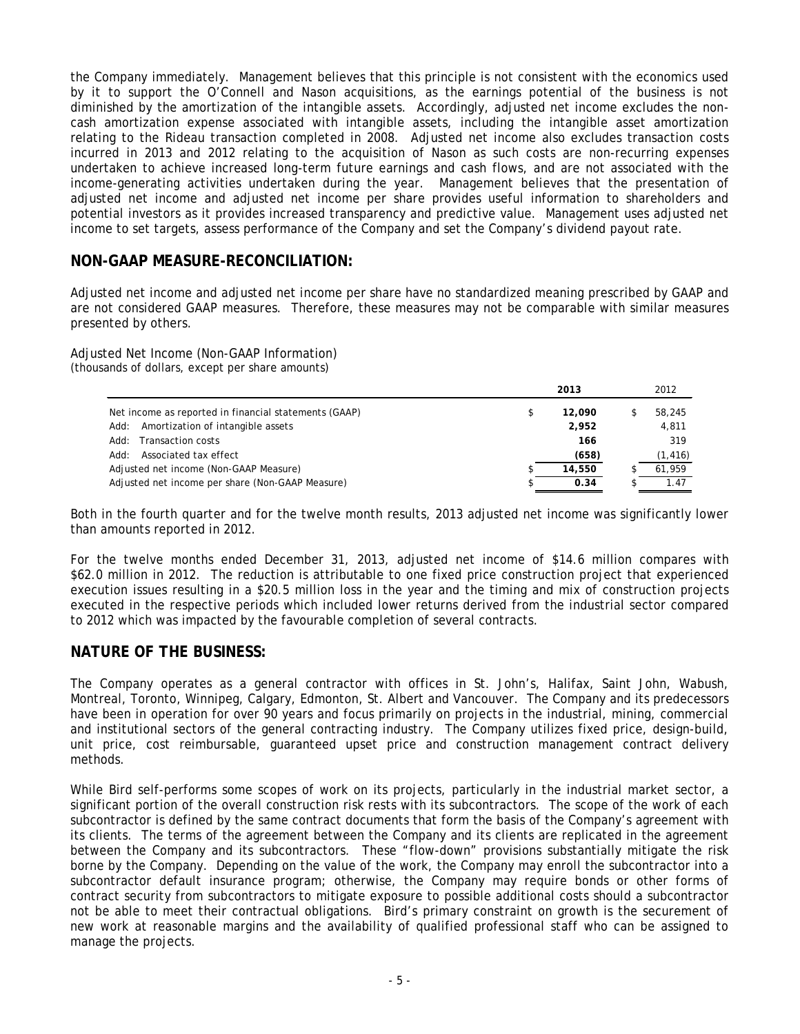the Company immediately. Management believes that this principle is not consistent with the economics used by it to support the O'Connell and Nason acquisitions, as the earnings potential of the business is not diminished by the amortization of the intangible assets. Accordingly, adjusted net income excludes the noncash amortization expense associated with intangible assets, including the intangible asset amortization relating to the Rideau transaction completed in 2008. Adjusted net income also excludes transaction costs incurred in 2013 and 2012 relating to the acquisition of Nason as such costs are non-recurring expenses undertaken to achieve increased long-term future earnings and cash flows, and are not associated with the income-generating activities undertaken during the year. Management believes that the presentation of adjusted net income and adjusted net income per share provides useful information to shareholders and potential investors as it provides increased transparency and predictive value. Management uses adjusted net income to set targets, assess performance of the Company and set the Company's dividend payout rate.

### **NON-GAAP MEASURE-RECONCILIATION:**

Adjusted net income and adjusted net income per share have no standardized meaning prescribed by GAAP and are not considered GAAP measures. Therefore, these measures may not be comparable with similar measures presented by others.

Adjusted Net Income (Non-GAAP Information) (thousands of dollars, except per share amounts)

|                                                       | 2013         | 2012     |
|-------------------------------------------------------|--------------|----------|
| Net income as reported in financial statements (GAAP) | \$<br>12,090 | 58,245   |
| Amortization of intangible assets<br>Add:             | 2,952        | 4,811    |
| <b>Transaction costs</b><br>:Add                      | 166          | 319      |
| Associated tax effect<br>:Add                         | (658)        | (1, 416) |
| Adjusted net income (Non-GAAP Measure)                | 14,550       | 61.959   |
| Adjusted net income per share (Non-GAAP Measure)      | 0.34         | 1.47     |

Both in the fourth quarter and for the twelve month results, 2013 adjusted net income was significantly lower than amounts reported in 2012.

For the twelve months ended December 31, 2013, adjusted net income of \$14.6 million compares with \$62.0 million in 2012. The reduction is attributable to one fixed price construction project that experienced execution issues resulting in a \$20.5 million loss in the year and the timing and mix of construction projects executed in the respective periods which included lower returns derived from the industrial sector compared to 2012 which was impacted by the favourable completion of several contracts.

### **NATURE OF THE BUSINESS:**

The Company operates as a general contractor with offices in St. John's, Halifax, Saint John, Wabush, Montreal, Toronto, Winnipeg, Calgary, Edmonton, St. Albert and Vancouver. The Company and its predecessors have been in operation for over 90 years and focus primarily on projects in the industrial, mining, commercial and institutional sectors of the general contracting industry. The Company utilizes fixed price, design-build, unit price, cost reimbursable, guaranteed upset price and construction management contract delivery methods.

While Bird self-performs some scopes of work on its projects, particularly in the industrial market sector, a significant portion of the overall construction risk rests with its subcontractors. The scope of the work of each subcontractor is defined by the same contract documents that form the basis of the Company's agreement with its clients. The terms of the agreement between the Company and its clients are replicated in the agreement between the Company and its subcontractors. These "flow-down" provisions substantially mitigate the risk borne by the Company. Depending on the value of the work, the Company may enroll the subcontractor into a subcontractor default insurance program; otherwise, the Company may require bonds or other forms of contract security from subcontractors to mitigate exposure to possible additional costs should a subcontractor not be able to meet their contractual obligations. Bird's primary constraint on growth is the securement of new work at reasonable margins and the availability of qualified professional staff who can be assigned to manage the projects.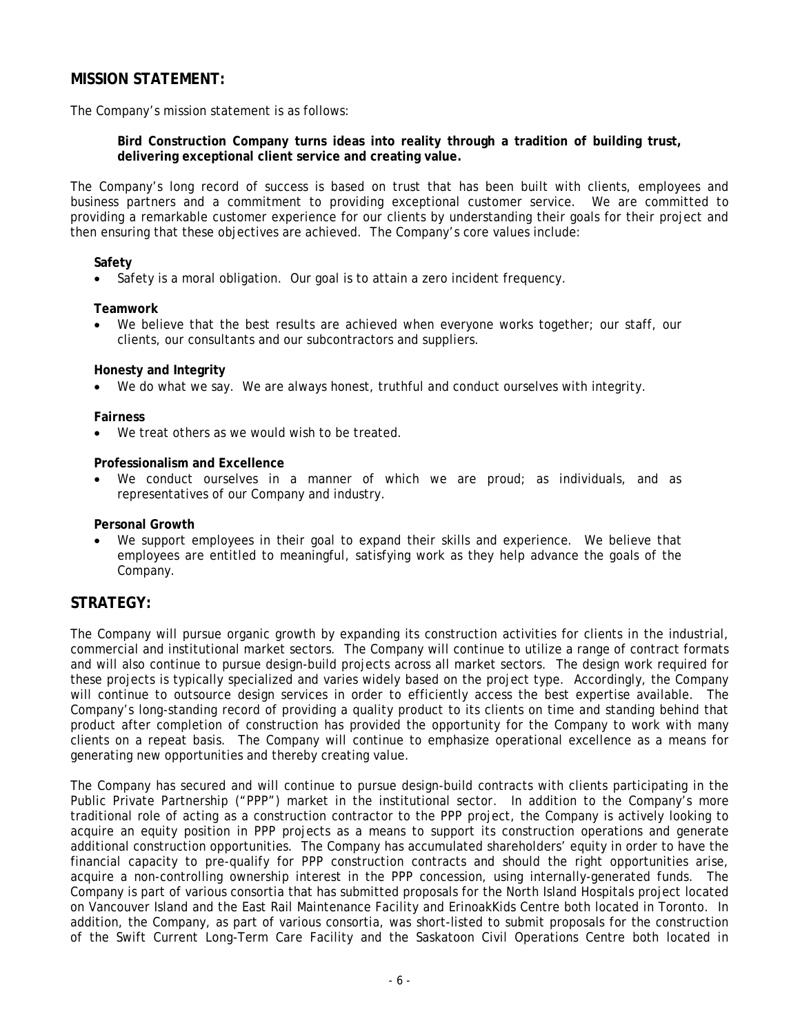# **MISSION STATEMENT:**

The Company's mission statement is as follows:

**Bird Construction Company turns ideas into reality through a tradition of building trust, delivering exceptional client service and creating value.**

The Company's long record of success is based on trust that has been built with clients, employees and business partners and a commitment to providing exceptional customer service. We are committed to providing a remarkable customer experience for our clients by understanding their goals for their project and then ensuring that these objectives are achieved. The Company's core values include:

#### **Safety**

• Safety is a moral obligation. Our goal is to attain a zero incident frequency.

#### **Teamwork**

• We believe that the best results are achieved when everyone works together; our staff, our clients, our consultants and our subcontractors and suppliers.

#### **Honesty and Integrity**

We do what we say. We are always honest, truthful and conduct ourselves with integrity.

#### **Fairness**

We treat others as we would wish to be treated.

#### **Professionalism and Excellence**

We conduct ourselves in a manner of which we are proud; as individuals, and as representatives of our Company and industry.

#### **Personal Growth**

We support employees in their goal to expand their skills and experience. We believe that employees are entitled to meaningful, satisfying work as they help advance the goals of the Company.

### **STRATEGY:**

The Company will pursue organic growth by expanding its construction activities for clients in the industrial, commercial and institutional market sectors. The Company will continue to utilize a range of contract formats and will also continue to pursue design-build projects across all market sectors. The design work required for these projects is typically specialized and varies widely based on the project type. Accordingly, the Company will continue to outsource design services in order to efficiently access the best expertise available. The Company's long-standing record of providing a quality product to its clients on time and standing behind that product after completion of construction has provided the opportunity for the Company to work with many clients on a repeat basis. The Company will continue to emphasize operational excellence as a means for generating new opportunities and thereby creating value.

The Company has secured and will continue to pursue design-build contracts with clients participating in the Public Private Partnership ("PPP") market in the institutional sector. In addition to the Company's more traditional role of acting as a construction contractor to the PPP project, the Company is actively looking to acquire an equity position in PPP projects as a means to support its construction operations and generate additional construction opportunities. The Company has accumulated shareholders' equity in order to have the financial capacity to pre-qualify for PPP construction contracts and should the right opportunities arise, acquire a non-controlling ownership interest in the PPP concession, using internally-generated funds. The Company is part of various consortia that has submitted proposals for the North Island Hospitals project located on Vancouver Island and the East Rail Maintenance Facility and ErinoakKids Centre both located in Toronto. In addition, the Company, as part of various consortia, was short-listed to submit proposals for the construction of the Swift Current Long-Term Care Facility and the Saskatoon Civil Operations Centre both located in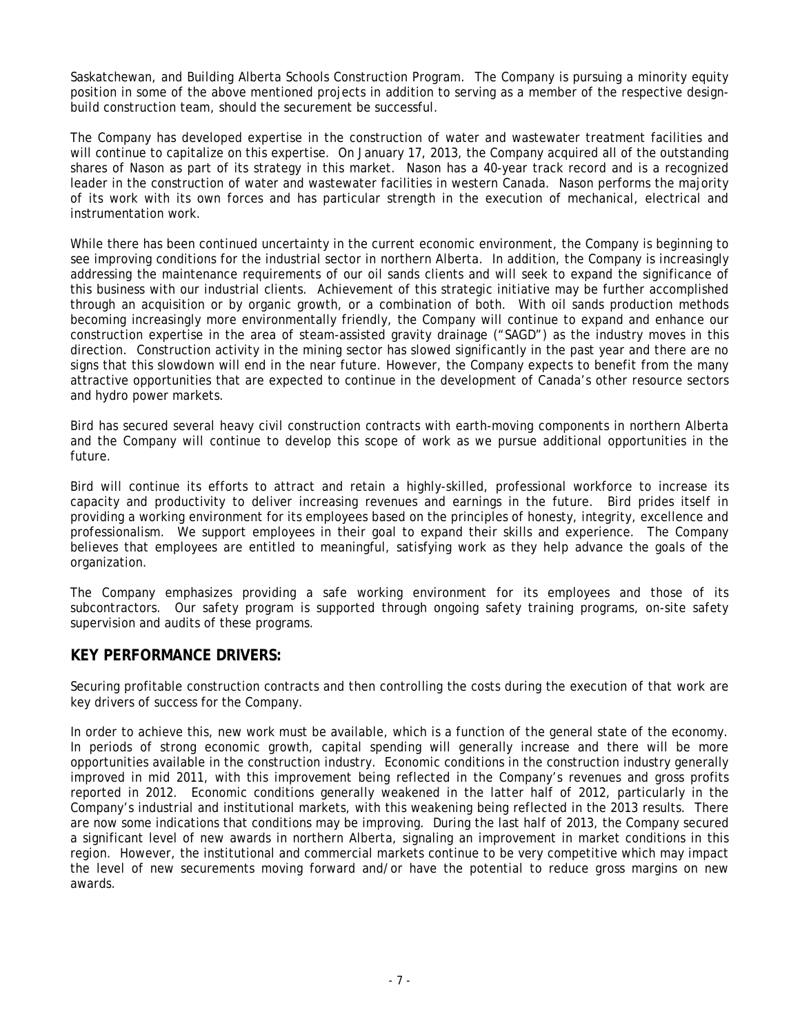Saskatchewan, and Building Alberta Schools Construction Program. The Company is pursuing a minority equity position in some of the above mentioned projects in addition to serving as a member of the respective designbuild construction team, should the securement be successful.

The Company has developed expertise in the construction of water and wastewater treatment facilities and will continue to capitalize on this expertise. On January 17, 2013, the Company acquired all of the outstanding shares of Nason as part of its strategy in this market. Nason has a 40-year track record and is a recognized leader in the construction of water and wastewater facilities in western Canada. Nason performs the majority of its work with its own forces and has particular strength in the execution of mechanical, electrical and instrumentation work.

While there has been continued uncertainty in the current economic environment, the Company is beginning to see improving conditions for the industrial sector in northern Alberta. In addition, the Company is increasingly addressing the maintenance requirements of our oil sands clients and will seek to expand the significance of this business with our industrial clients. Achievement of this strategic initiative may be further accomplished through an acquisition or by organic growth, or a combination of both. With oil sands production methods becoming increasingly more environmentally friendly, the Company will continue to expand and enhance our construction expertise in the area of steam-assisted gravity drainage ("SAGD") as the industry moves in this direction. Construction activity in the mining sector has slowed significantly in the past year and there are no signs that this slowdown will end in the near future. However, the Company expects to benefit from the many attractive opportunities that are expected to continue in the development of Canada's other resource sectors and hydro power markets.

Bird has secured several heavy civil construction contracts with earth-moving components in northern Alberta and the Company will continue to develop this scope of work as we pursue additional opportunities in the future.

Bird will continue its efforts to attract and retain a highly-skilled, professional workforce to increase its capacity and productivity to deliver increasing revenues and earnings in the future. Bird prides itself in providing a working environment for its employees based on the principles of honesty, integrity, excellence and professionalism. We support employees in their goal to expand their skills and experience. The Company believes that employees are entitled to meaningful, satisfying work as they help advance the goals of the organization.

The Company emphasizes providing a safe working environment for its employees and those of its subcontractors. Our safety program is supported through ongoing safety training programs, on-site safety supervision and audits of these programs.

### **KEY PERFORMANCE DRIVERS:**

Securing profitable construction contracts and then controlling the costs during the execution of that work are key drivers of success for the Company.

In order to achieve this, new work must be available, which is a function of the general state of the economy. In periods of strong economic growth, capital spending will generally increase and there will be more opportunities available in the construction industry. Economic conditions in the construction industry generally improved in mid 2011, with this improvement being reflected in the Company's revenues and gross profits reported in 2012. Economic conditions generally weakened in the latter half of 2012, particularly in the Company's industrial and institutional markets, with this weakening being reflected in the 2013 results. There are now some indications that conditions may be improving. During the last half of 2013, the Company secured a significant level of new awards in northern Alberta, signaling an improvement in market conditions in this region. However, the institutional and commercial markets continue to be very competitive which may impact the level of new securements moving forward and/or have the potential to reduce gross margins on new awards.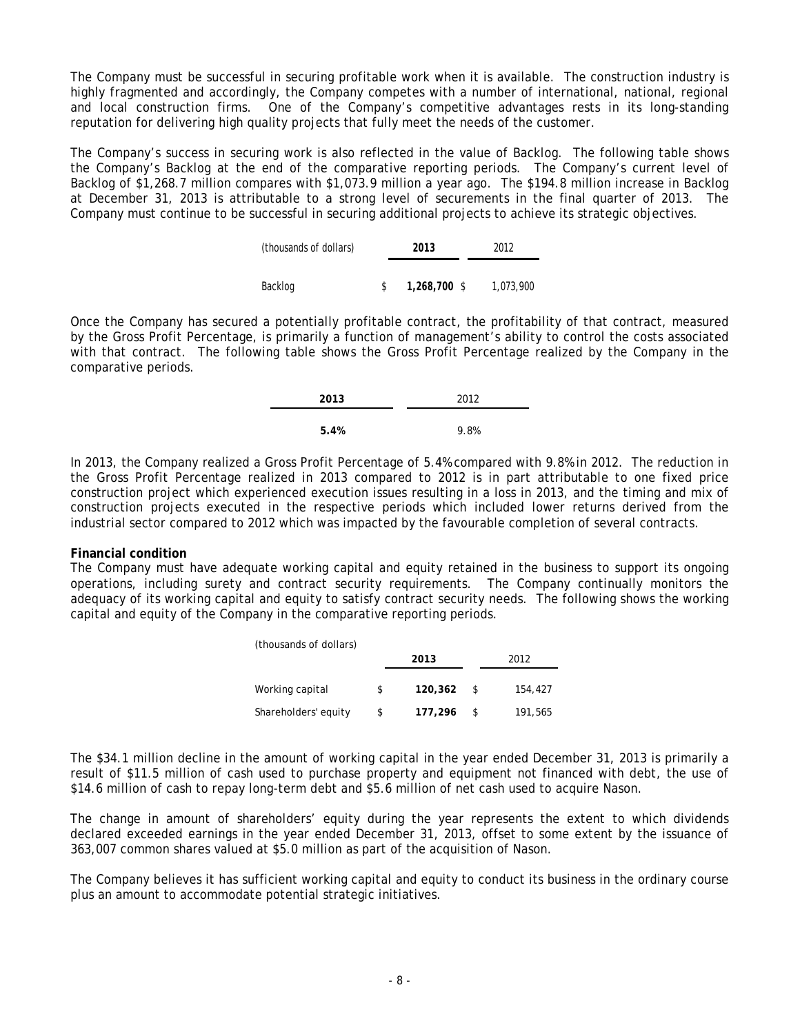The Company must be successful in securing profitable work when it is available. The construction industry is highly fragmented and accordingly, the Company competes with a number of international, national, regional and local construction firms. One of the Company's competitive advantages rests in its long-standing reputation for delivering high quality projects that fully meet the needs of the customer.

The Company's success in securing work is also reflected in the value of Backlog. The following table shows the Company's Backlog at the end of the comparative reporting periods. The Company's current level of Backlog of \$1,268.7 million compares with \$1,073.9 million a year ago. The \$194.8 million increase in Backlog at December 31, 2013 is attributable to a strong level of securements in the final quarter of 2013. The Company must continue to be successful in securing additional projects to achieve its strategic objectives.

| (thousands of dollars) | 2013         | 2012      |
|------------------------|--------------|-----------|
|                        |              |           |
| Backlog                | 1,268,700 \$ | 1,073,900 |

Once the Company has secured a potentially profitable contract, the profitability of that contract, measured by the Gross Profit Percentage, is primarily a function of management's ability to control the costs associated with that contract. The following table shows the Gross Profit Percentage realized by the Company in the comparative periods.

| 2013 | 2012 |
|------|------|
| 5.4% | 9.8% |

In 2013, the Company realized a Gross Profit Percentage of 5.4% compared with 9.8% in 2012. The reduction in the Gross Profit Percentage realized in 2013 compared to 2012 is in part attributable to one fixed price construction project which experienced execution issues resulting in a loss in 2013, and the timing and mix of construction projects executed in the respective periods which included lower returns derived from the industrial sector compared to 2012 which was impacted by the favourable completion of several contracts.

#### **Financial condition**

The Company must have adequate working capital and equity retained in the business to support its ongoing operations, including surety and contract security requirements. The Company continually monitors the adequacy of its working capital and equity to satisfy contract security needs. The following shows the working capital and equity of the Company in the comparative reporting periods.

| (thousands of dollars) |   |         |    |         |  |  |
|------------------------|---|---------|----|---------|--|--|
|                        |   | 2013    |    | 2012    |  |  |
| Working capital        | S | 120,362 | -S | 154,427 |  |  |
| Shareholders' equity   |   | 177,296 |    | 191,565 |  |  |
|                        |   |         |    |         |  |  |

The \$34.1 million decline in the amount of working capital in the year ended December 31, 2013 is primarily a result of \$11.5 million of cash used to purchase property and equipment not financed with debt, the use of \$14.6 million of cash to repay long-term debt and \$5.6 million of net cash used to acquire Nason.

The change in amount of shareholders' equity during the year represents the extent to which dividends declared exceeded earnings in the year ended December 31, 2013, offset to some extent by the issuance of 363,007 common shares valued at \$5.0 million as part of the acquisition of Nason.

The Company believes it has sufficient working capital and equity to conduct its business in the ordinary course plus an amount to accommodate potential strategic initiatives.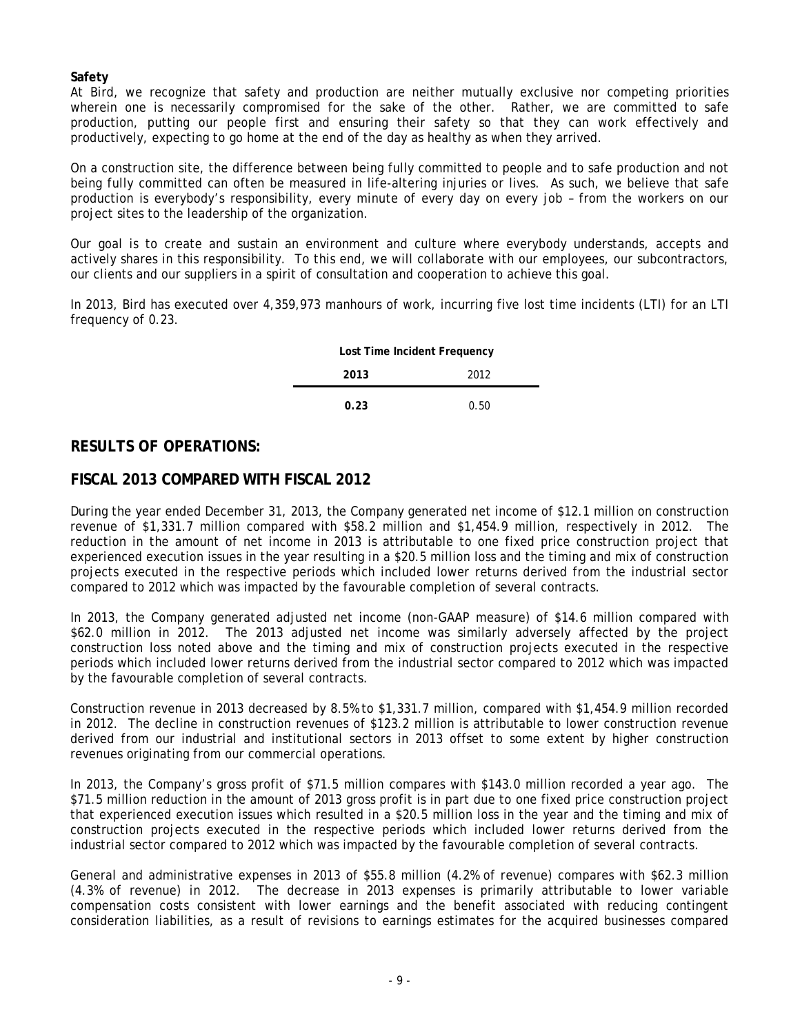### **Safety**

At Bird, we recognize that safety and production are neither mutually exclusive nor competing priorities wherein one is necessarily compromised for the sake of the other. Rather, we are committed to safe production, putting our people first and ensuring their safety so that they can work effectively and productively, expecting to go home at the end of the day as healthy as when they arrived.

On a construction site, the difference between being fully committed to people and to safe production and not being fully committed can often be measured in life-altering injuries or lives. As such, we believe that safe production is everybody's responsibility, every minute of every day on every job – from the workers on our project sites to the leadership of the organization.

Our goal is to create and sustain an environment and culture where everybody understands, accepts and actively shares in this responsibility. To this end, we will collaborate with our employees, our subcontractors, our clients and our suppliers in a spirit of consultation and cooperation to achieve this goal.

In 2013, Bird has executed over 4,359,973 manhours of work, incurring five lost time incidents (LTI) for an LTI frequency of 0.23.

| Lost Time Incident Frequency |      |  |  |  |  |
|------------------------------|------|--|--|--|--|
| 2013                         | 2012 |  |  |  |  |
| 0.23                         | 0.50 |  |  |  |  |

# **RESULTS OF OPERATIONS:**

# **FISCAL 2013 COMPARED WITH FISCAL 2012**

During the year ended December 31, 2013, the Company generated net income of \$12.1 million on construction revenue of \$1,331.7 million compared with \$58.2 million and \$1,454.9 million, respectively in 2012. The reduction in the amount of net income in 2013 is attributable to one fixed price construction project that experienced execution issues in the year resulting in a \$20.5 million loss and the timing and mix of construction projects executed in the respective periods which included lower returns derived from the industrial sector compared to 2012 which was impacted by the favourable completion of several contracts.

In 2013, the Company generated adjusted net income (non-GAAP measure) of \$14.6 million compared with \$62.0 million in 2012. The 2013 adjusted net income was similarly adversely affected by the project construction loss noted above and the timing and mix of construction projects executed in the respective periods which included lower returns derived from the industrial sector compared to 2012 which was impacted by the favourable completion of several contracts.

Construction revenue in 2013 decreased by 8.5% to \$1,331.7 million, compared with \$1,454.9 million recorded in 2012. The decline in construction revenues of \$123.2 million is attributable to lower construction revenue derived from our industrial and institutional sectors in 2013 offset to some extent by higher construction revenues originating from our commercial operations.

In 2013, the Company's gross profit of \$71.5 million compares with \$143.0 million recorded a year ago. The \$71.5 million reduction in the amount of 2013 gross profit is in part due to one fixed price construction project that experienced execution issues which resulted in a \$20.5 million loss in the year and the timing and mix of construction projects executed in the respective periods which included lower returns derived from the industrial sector compared to 2012 which was impacted by the favourable completion of several contracts.

General and administrative expenses in 2013 of \$55.8 million (4.2% of revenue) compares with \$62.3 million (4.3% of revenue) in 2012. The decrease in 2013 expenses is primarily attributable to lower variable compensation costs consistent with lower earnings and the benefit associated with reducing contingent consideration liabilities, as a result of revisions to earnings estimates for the acquired businesses compared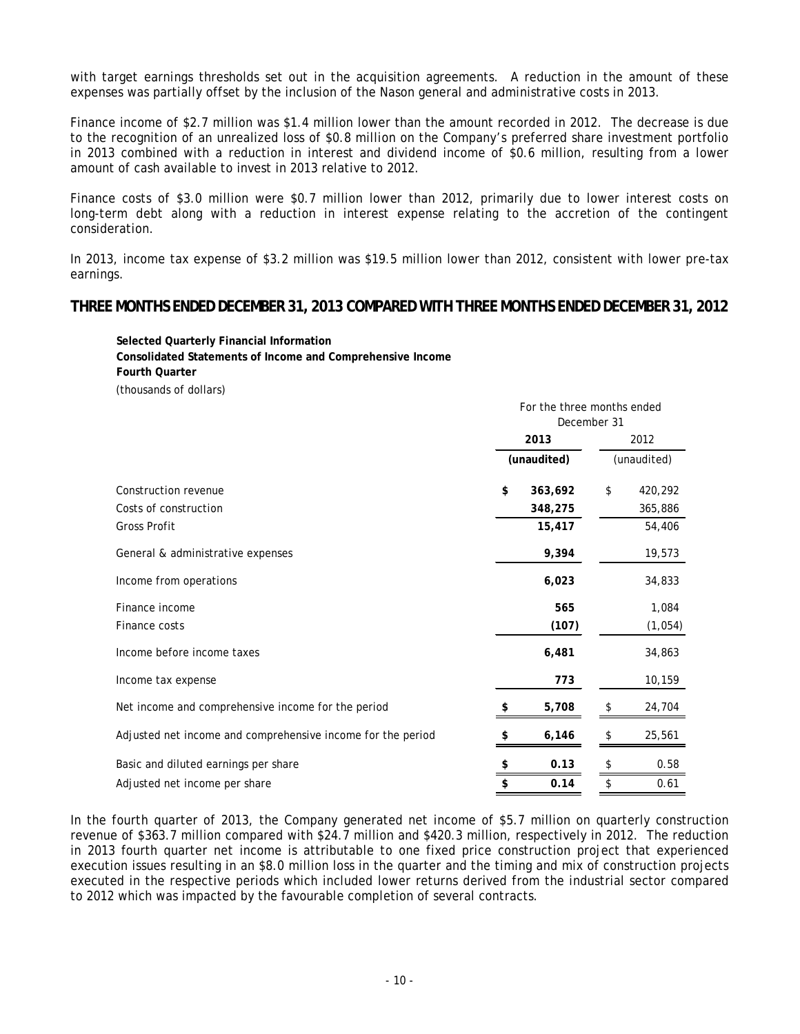with target earnings thresholds set out in the acquisition agreements. A reduction in the amount of these expenses was partially offset by the inclusion of the Nason general and administrative costs in 2013.

Finance income of \$2.7 million was \$1.4 million lower than the amount recorded in 2012. The decrease is due to the recognition of an unrealized loss of \$0.8 million on the Company's preferred share investment portfolio in 2013 combined with a reduction in interest and dividend income of \$0.6 million, resulting from a lower amount of cash available to invest in 2013 relative to 2012.

Finance costs of \$3.0 million were \$0.7 million lower than 2012, primarily due to lower interest costs on long-term debt along with a reduction in interest expense relating to the accretion of the contingent consideration.

In 2013, income tax expense of \$3.2 million was \$19.5 million lower than 2012, consistent with lower pre-tax earnings.

#### **THREE MONTHS ENDED DECEMBER31, 2013 COMPARED WITH THREE MONTHS ENDED DECEMBER31, 2012**

**Selected Quarterly Financial Information Consolidated Statements of Income and Comprehensive Income Fourth Quarter** (thousands of dollars)

|                                                             |    |             | For the three months ended |             |  |  |  |
|-------------------------------------------------------------|----|-------------|----------------------------|-------------|--|--|--|
|                                                             |    |             |                            |             |  |  |  |
|                                                             |    | 2013        |                            | 2012        |  |  |  |
|                                                             |    | (unaudited) |                            | (unaudited) |  |  |  |
| Construction revenue                                        | \$ | 363,692     | \$                         | 420,292     |  |  |  |
| Costs of construction                                       |    | 348,275     |                            | 365,886     |  |  |  |
| <b>Gross Profit</b>                                         |    | 15,417      |                            | 54,406      |  |  |  |
| General & administrative expenses                           |    | 9,394       |                            | 19,573      |  |  |  |
| Income from operations                                      |    | 6,023       |                            | 34,833      |  |  |  |
| Finance income                                              |    | 565         |                            | 1,084       |  |  |  |
| Finance costs                                               |    | (107)       |                            | (1,054)     |  |  |  |
| Income before income taxes                                  |    | 6,481       |                            | 34,863      |  |  |  |
| Income tax expense                                          |    | 773         |                            | 10,159      |  |  |  |
| Net income and comprehensive income for the period          |    | 5,708       | S                          | 24,704      |  |  |  |
| Adjusted net income and comprehensive income for the period | S  | 6,146       | \$                         | 25,561      |  |  |  |
| Basic and diluted earnings per share                        | \$ | 0.13        | \$                         | 0.58        |  |  |  |
| Adjusted net income per share                               | \$ | 0.14        | \$                         | 0.61        |  |  |  |

In the fourth quarter of 2013, the Company generated net income of \$5.7 million on quarterly construction revenue of \$363.7 million compared with \$24.7 million and \$420.3 million, respectively in 2012. The reduction in 2013 fourth quarter net income is attributable to one fixed price construction project that experienced execution issues resulting in an \$8.0 million loss in the quarter and the timing and mix of construction projects executed in the respective periods which included lower returns derived from the industrial sector compared to 2012 which was impacted by the favourable completion of several contracts.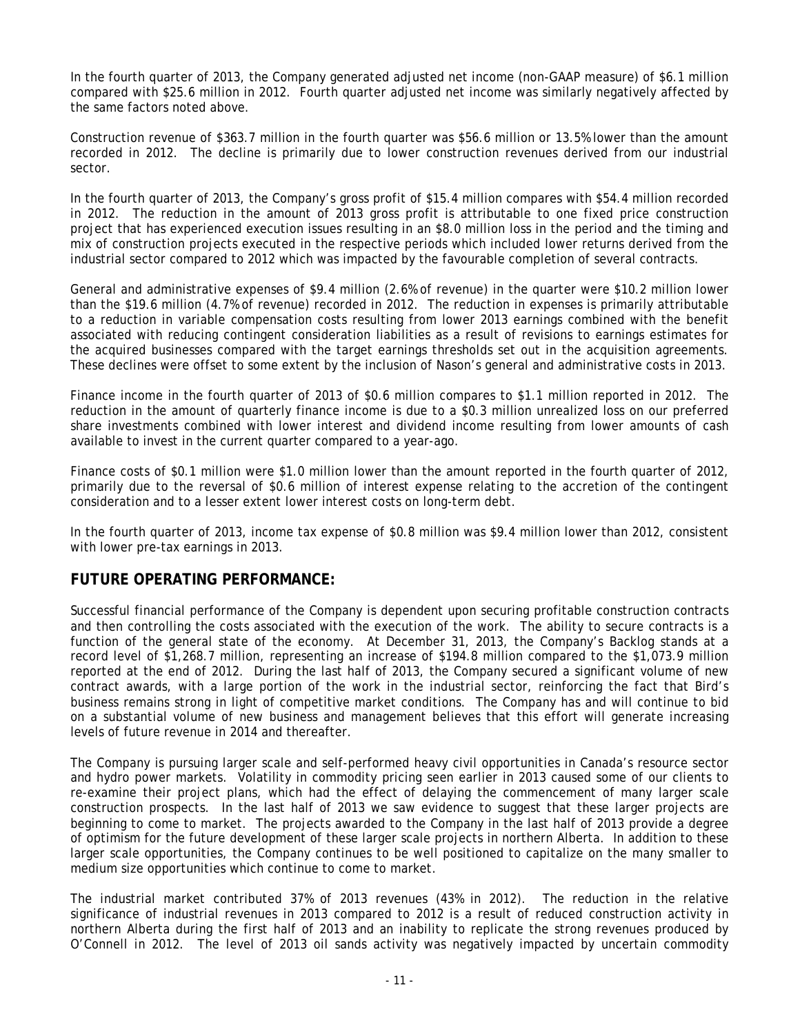In the fourth quarter of 2013, the Company generated adjusted net income (non-GAAP measure) of \$6.1 million compared with \$25.6 million in 2012. Fourth quarter adjusted net income was similarly negatively affected by the same factors noted above.

Construction revenue of \$363.7 million in the fourth quarter was \$56.6 million or 13.5% lower than the amount recorded in 2012. The decline is primarily due to lower construction revenues derived from our industrial sector.

In the fourth quarter of 2013, the Company's gross profit of \$15.4 million compares with \$54.4 million recorded in 2012. The reduction in the amount of 2013 gross profit is attributable to one fixed price construction project that has experienced execution issues resulting in an \$8.0 million loss in the period and the timing and mix of construction projects executed in the respective periods which included lower returns derived from the industrial sector compared to 2012 which was impacted by the favourable completion of several contracts.

General and administrative expenses of \$9.4 million (2.6% of revenue) in the quarter were \$10.2 million lower than the \$19.6 million (4.7% of revenue) recorded in 2012. The reduction in expenses is primarily attributable to a reduction in variable compensation costs resulting from lower 2013 earnings combined with the benefit associated with reducing contingent consideration liabilities as a result of revisions to earnings estimates for the acquired businesses compared with the target earnings thresholds set out in the acquisition agreements. These declines were offset to some extent by the inclusion of Nason's general and administrative costs in 2013.

Finance income in the fourth quarter of 2013 of \$0.6 million compares to \$1.1 million reported in 2012. The reduction in the amount of quarterly finance income is due to a \$0.3 million unrealized loss on our preferred share investments combined with lower interest and dividend income resulting from lower amounts of cash available to invest in the current quarter compared to a year-ago.

Finance costs of \$0.1 million were \$1.0 million lower than the amount reported in the fourth quarter of 2012, primarily due to the reversal of \$0.6 million of interest expense relating to the accretion of the contingent consideration and to a lesser extent lower interest costs on long-term debt.

In the fourth quarter of 2013, income tax expense of \$0.8 million was \$9.4 million lower than 2012, consistent with lower pre-tax earnings in 2013.

### **FUTURE OPERATING PERFORMANCE:**

Successful financial performance of the Company is dependent upon securing profitable construction contracts and then controlling the costs associated with the execution of the work. The ability to secure contracts is a function of the general state of the economy. At December 31, 2013, the Company's Backlog stands at a record level of \$1,268.7 million, representing an increase of \$194.8 million compared to the \$1,073.9 million reported at the end of 2012. During the last half of 2013, the Company secured a significant volume of new contract awards, with a large portion of the work in the industrial sector, reinforcing the fact that Bird's business remains strong in light of competitive market conditions. The Company has and will continue to bid on a substantial volume of new business and management believes that this effort will generate increasing levels of future revenue in 2014 and thereafter.

The Company is pursuing larger scale and self-performed heavy civil opportunities in Canada's resource sector and hydro power markets. Volatility in commodity pricing seen earlier in 2013 caused some of our clients to re-examine their project plans, which had the effect of delaying the commencement of many larger scale construction prospects. In the last half of 2013 we saw evidence to suggest that these larger projects are beginning to come to market. The projects awarded to the Company in the last half of 2013 provide a degree of optimism for the future development of these larger scale projects in northern Alberta. In addition to these larger scale opportunities, the Company continues to be well positioned to capitalize on the many smaller to medium size opportunities which continue to come to market.

The industrial market contributed 37% of 2013 revenues (43% in 2012). The reduction in the relative significance of industrial revenues in 2013 compared to 2012 is a result of reduced construction activity in northern Alberta during the first half of 2013 and an inability to replicate the strong revenues produced by O'Connell in 2012. The level of 2013 oil sands activity was negatively impacted by uncertain commodity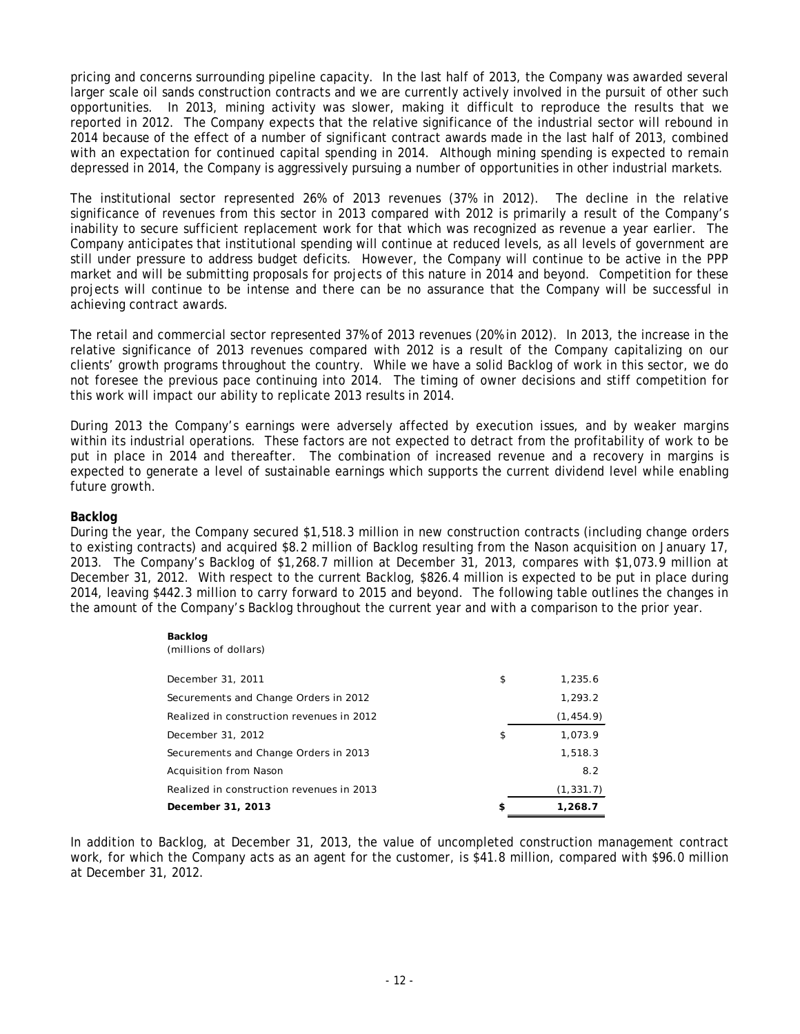pricing and concerns surrounding pipeline capacity. In the last half of 2013, the Company was awarded several larger scale oil sands construction contracts and we are currently actively involved in the pursuit of other such opportunities. In 2013, mining activity was slower, making it difficult to reproduce the results that we reported in 2012. The Company expects that the relative significance of the industrial sector will rebound in 2014 because of the effect of a number of significant contract awards made in the last half of 2013, combined with an expectation for continued capital spending in 2014. Although mining spending is expected to remain depressed in 2014, the Company is aggressively pursuing a number of opportunities in other industrial markets.

The institutional sector represented 26% of 2013 revenues (37% in 2012). The decline in the relative significance of revenues from this sector in 2013 compared with 2012 is primarily a result of the Company's inability to secure sufficient replacement work for that which was recognized as revenue a year earlier. The Company anticipates that institutional spending will continue at reduced levels, as all levels of government are still under pressure to address budget deficits. However, the Company will continue to be active in the PPP market and will be submitting proposals for projects of this nature in 2014 and beyond. Competition for these projects will continue to be intense and there can be no assurance that the Company will be successful in achieving contract awards.

The retail and commercial sector represented 37% of 2013 revenues (20% in 2012). In 2013, the increase in the relative significance of 2013 revenues compared with 2012 is a result of the Company capitalizing on our clients' growth programs throughout the country. While we have a solid Backlog of work in this sector, we do not foresee the previous pace continuing into 2014. The timing of owner decisions and stiff competition for this work will impact our ability to replicate 2013 results in 2014.

During 2013 the Company's earnings were adversely affected by execution issues, and by weaker margins within its industrial operations. These factors are not expected to detract from the profitability of work to be put in place in 2014 and thereafter. The combination of increased revenue and a recovery in margins is expected to generate a level of sustainable earnings which supports the current dividend level while enabling future growth.

#### **Backlog**

During the year, the Company secured \$1,518.3 million in new construction contracts (including change orders to existing contracts) and acquired \$8.2 million of Backlog resulting from the Nason acquisition on January 17, 2013. The Company's Backlog of \$1,268.7 million at December 31, 2013, compares with \$1,073.9 million at December 31, 2012. With respect to the current Backlog, \$826.4 million is expected to be put in place during 2014, leaving \$442.3 million to carry forward to 2015 and beyond. The following table outlines the changes in the amount of the Company's Backlog throughout the current year and with a comparison to the prior year.

| Backlog<br>(millions of dollars)          |               |
|-------------------------------------------|---------------|
| December 31, 2011                         | \$<br>1,235.6 |
| Securements and Change Orders in 2012     | 1,293.2       |
| Realized in construction revenues in 2012 | (1, 454.9)    |
| December 31, 2012                         | \$<br>1,073.9 |
| Securements and Change Orders in 2013     | 1.518.3       |
| Acquisition from Nason                    | 8.2           |
| Realized in construction revenues in 2013 | (1, 331.7)    |
| December 31, 2013                         | \$<br>1,268.7 |

In addition to Backlog, at December 31, 2013, the value of uncompleted construction management contract work, for which the Company acts as an agent for the customer, is \$41.8 million, compared with \$96.0 million at December 31, 2012.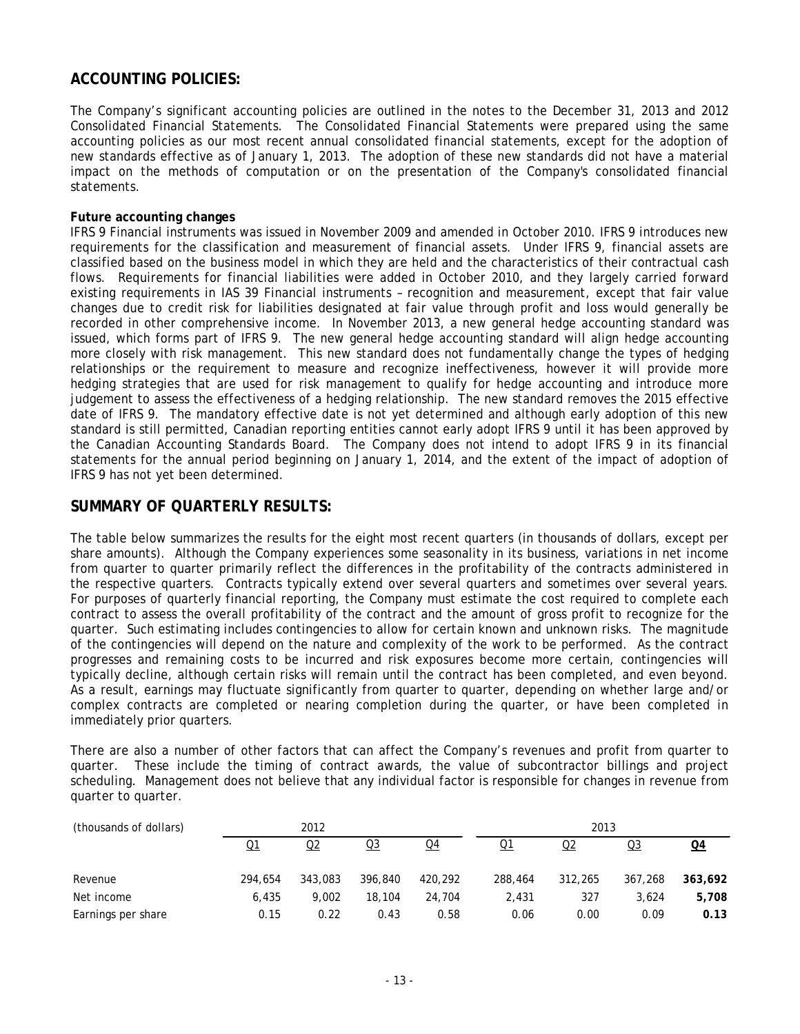# **ACCOUNTING POLICIES:**

The Company's significant accounting policies are outlined in the notes to the December 31, 2013 and 2012 Consolidated Financial Statements. The Consolidated Financial Statements were prepared using the same accounting policies as our most recent annual consolidated financial statements, except for the adoption of new standards effective as of January 1, 2013. The adoption of these new standards did not have a material impact on the methods of computation or on the presentation of the Company's consolidated financial statements.

#### **Future accounting changes**

IFRS 9 Financial instruments was issued in November 2009 and amended in October 2010. IFRS 9 introduces new requirements for the classification and measurement of financial assets. Under IFRS 9, financial assets are classified based on the business model in which they are held and the characteristics of their contractual cash flows. Requirements for financial liabilities were added in October 2010, and they largely carried forward existing requirements in IAS 39 Financial instruments – recognition and measurement, except that fair value changes due to credit risk for liabilities designated at fair value through profit and loss would generally be recorded in other comprehensive income. In November 2013, a new general hedge accounting standard was issued, which forms part of IFRS 9. The new general hedge accounting standard will align hedge accounting more closely with risk management. This new standard does not fundamentally change the types of hedging relationships or the requirement to measure and recognize ineffectiveness, however it will provide more hedging strategies that are used for risk management to qualify for hedge accounting and introduce more judgement to assess the effectiveness of a hedging relationship. The new standard removes the 2015 effective date of IFRS 9. The mandatory effective date is not yet determined and although early adoption of this new standard is still permitted, Canadian reporting entities cannot early adopt IFRS 9 until it has been approved by the Canadian Accounting Standards Board. The Company does not intend to adopt IFRS 9 in its financial statements for the annual period beginning on January 1, 2014, and the extent of the impact of adoption of IFRS 9 has not yet been determined.

# **SUMMARY OF QUARTERLY RESULTS:**

The table below summarizes the results for the eight most recent quarters (in thousands of dollars, except per share amounts). Although the Company experiences some seasonality in its business, variations in net income from quarter to quarter primarily reflect the differences in the profitability of the contracts administered in the respective quarters. Contracts typically extend over several quarters and sometimes over several years. For purposes of quarterly financial reporting, the Company must estimate the cost required to complete each contract to assess the overall profitability of the contract and the amount of gross profit to recognize for the quarter. Such estimating includes contingencies to allow for certain known and unknown risks. The magnitude of the contingencies will depend on the nature and complexity of the work to be performed. As the contract progresses and remaining costs to be incurred and risk exposures become more certain, contingencies will typically decline, although certain risks will remain until the contract has been completed, and even beyond. As a result, earnings may fluctuate significantly from quarter to quarter, depending on whether large and/or complex contracts are completed or nearing completion during the quarter, or have been completed in immediately prior quarters.

There are also a number of other factors that can affect the Company's revenues and profit from quarter to quarter. These include the timing of contract awards, the value of subcontractor billings and project scheduling. Management does not believe that any individual factor is responsible for changes in revenue from quarter to quarter.

| (thousands of dollars) |         | 2012    |         |         |         | 2013    |         |         |
|------------------------|---------|---------|---------|---------|---------|---------|---------|---------|
|                        | Q1      | Q2      | $Q_3$   | Q4      | Q1      | Q2      | Q3      | Q4      |
| Revenue                | 294.654 | 343,083 | 396,840 | 420.292 | 288,464 | 312,265 | 367.268 | 363,692 |
| Net income             | 6.435   | 9.002   | 18,104  | 24,704  | 2.431   | 327     | 3.624   | 5,708   |
| Earnings per share     | 0.15    | 0.22    | 0.43    | 0.58    | 0.06    | 0.00    | 0.09    | 0.13    |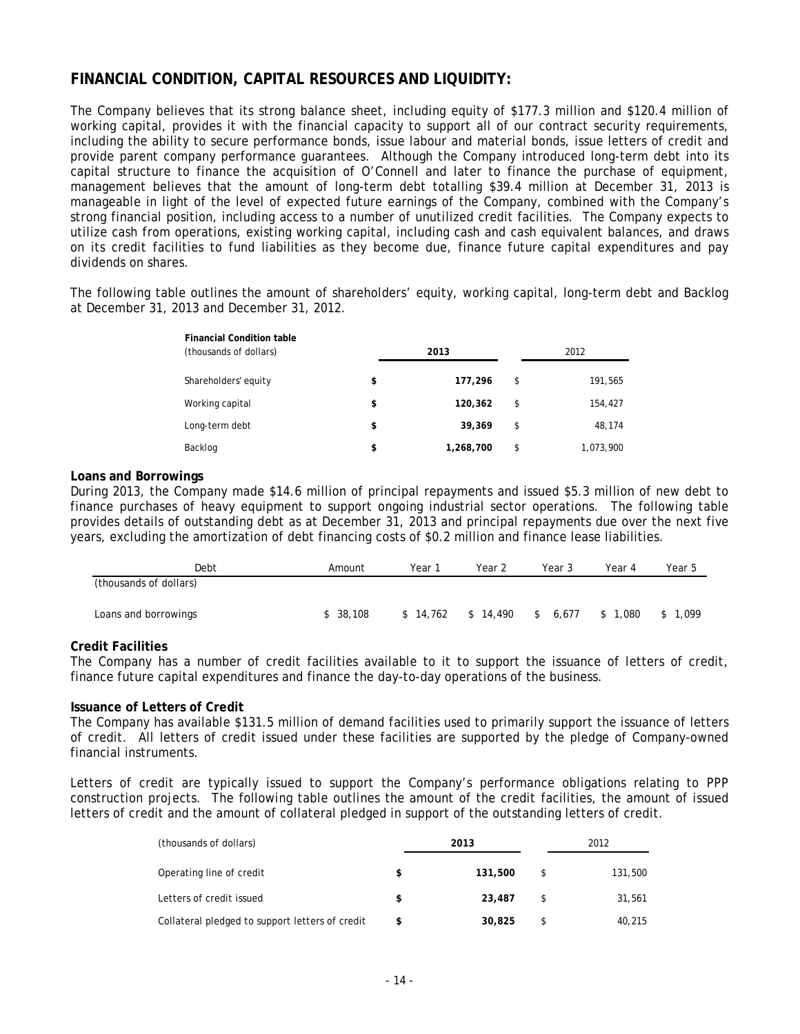# **FINANCIAL CONDITION, CAPITAL RESOURCES AND LIQUIDITY:**

The Company believes that its strong balance sheet, including equity of \$177.3 million and \$120.4 million of working capital, provides it with the financial capacity to support all of our contract security requirements, including the ability to secure performance bonds, issue labour and material bonds, issue letters of credit and provide parent company performance guarantees. Although the Company introduced long-term debt into its capital structure to finance the acquisition of O'Connell and later to finance the purchase of equipment, management believes that the amount of long-term debt totalling \$39.4 million at December 31, 2013 is manageable in light of the level of expected future earnings of the Company, combined with the Company's strong financial position, including access to a number of unutilized credit facilities. The Company expects to utilize cash from operations, existing working capital, including cash and cash equivalent balances, and draws on its credit facilities to fund liabilities as they become due, finance future capital expenditures and pay dividends on shares.

The following table outlines the amount of shareholders' equity, working capital, long-term debt and Backlog at December 31, 2013 and December 31, 2012.

| <b>Financial Condition table</b><br>(thousands of dollars) | 2013            | 2012            |
|------------------------------------------------------------|-----------------|-----------------|
| Shareholders' equity                                       | \$<br>177,296   | \$<br>191,565   |
| Working capital                                            | \$<br>120,362   | \$<br>154,427   |
| Long-term debt                                             | \$<br>39,369    | \$<br>48,174    |
| Backlog                                                    | \$<br>1,268,700 | \$<br>1,073,900 |

#### **Loans and Borrowings**

During 2013, the Company made \$14.6 million of principal repayments and issued \$5.3 million of new debt to finance purchases of heavy equipment to support ongoing industrial sector operations. The following table provides details of outstanding debt as at December 31, 2013 and principal repayments due over the next five years, excluding the amortization of debt financing costs of \$0.2 million and finance lease liabilities.

| Debt                   | Amount   | Year     | Year 2   | Year 3      | Year 4      | Year 5  |
|------------------------|----------|----------|----------|-------------|-------------|---------|
| (thousands of dollars) |          |          |          |             |             |         |
|                        |          |          |          |             |             |         |
| Loans and borrowings   | \$38.108 | \$14,762 | \$14.490 | 6.677<br>\$ | 1.080<br>S. | \$1.099 |

#### **Credit Facilities**

The Company has a number of credit facilities available to it to support the issuance of letters of credit, finance future capital expenditures and finance the day-to-day operations of the business.

#### **Issuance of Letters of Credit**

The Company has available \$131.5 million of demand facilities used to primarily support the issuance of letters of credit. All letters of credit issued under these facilities are supported by the pledge of Company-owned financial instruments.

Letters of credit are typically issued to support the Company's performance obligations relating to PPP construction projects. The following table outlines the amount of the credit facilities, the amount of issued letters of credit and the amount of collateral pledged in support of the outstanding letters of credit.

| (thousands of dollars)                          |   | 2013    | 2012 |         |  |
|-------------------------------------------------|---|---------|------|---------|--|
| Operating line of credit                        | S | 131,500 |      | 131,500 |  |
| Letters of credit issued                        |   | 23,487  |      | 31,561  |  |
| Collateral pledged to support letters of credit |   | 30,825  |      | 40,215  |  |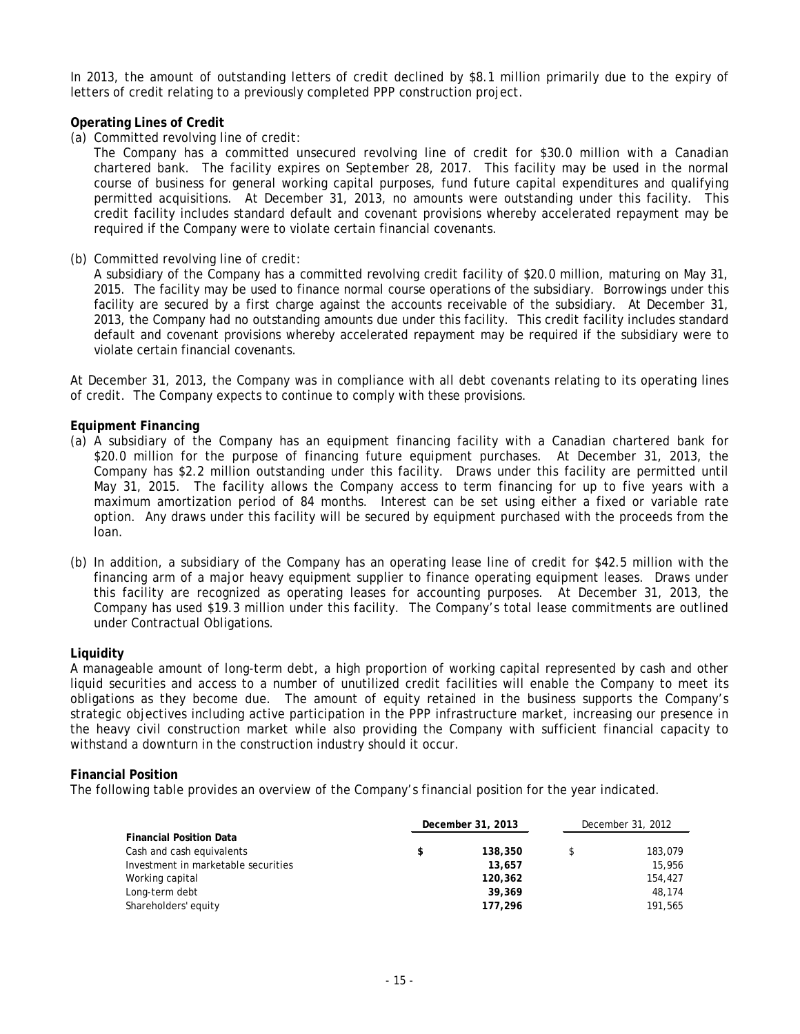In 2013, the amount of outstanding letters of credit declined by \$8.1 million primarily due to the expiry of letters of credit relating to a previously completed PPP construction project.

#### **Operating Lines of Credit**

(a) Committed revolving line of credit:

The Company has a committed unsecured revolving line of credit for \$30.0 million with a Canadian chartered bank. The facility expires on September 28, 2017. This facility may be used in the normal course of business for general working capital purposes, fund future capital expenditures and qualifying permitted acquisitions. At December 31, 2013, no amounts were outstanding under this facility. This credit facility includes standard default and covenant provisions whereby accelerated repayment may be required if the Company were to violate certain financial covenants.

(b) Committed revolving line of credit:

A subsidiary of the Company has a committed revolving credit facility of \$20.0 million, maturing on May 31, 2015. The facility may be used to finance normal course operations of the subsidiary. Borrowings under this facility are secured by a first charge against the accounts receivable of the subsidiary. At December 31, 2013, the Company had no outstanding amounts due under this facility. This credit facility includes standard default and covenant provisions whereby accelerated repayment may be required if the subsidiary were to violate certain financial covenants.

At December 31, 2013, the Company was in compliance with all debt covenants relating to its operating lines of credit. The Company expects to continue to comply with these provisions.

#### **Equipment Financing**

- (a) A subsidiary of the Company has an equipment financing facility with a Canadian chartered bank for \$20.0 million for the purpose of financing future equipment purchases. At December 31, 2013, the Company has \$2.2 million outstanding under this facility. Draws under this facility are permitted until May 31, 2015. The facility allows the Company access to term financing for up to five years with a maximum amortization period of 84 months. Interest can be set using either a fixed or variable rate option. Any draws under this facility will be secured by equipment purchased with the proceeds from the loan.
- (b) In addition, a subsidiary of the Company has an operating lease line of credit for \$42.5 million with the financing arm of a major heavy equipment supplier to finance operating equipment leases. Draws under this facility are recognized as operating leases for accounting purposes. At December 31, 2013, the Company has used \$19.3 million under this facility. The Company's total lease commitments are outlined under Contractual Obligations.

#### **Liquidity**

A manageable amount of long-term debt, a high proportion of working capital represented by cash and other liquid securities and access to a number of unutilized credit facilities will enable the Company to meet its obligations as they become due. The amount of equity retained in the business supports the Company's strategic objectives including active participation in the PPP infrastructure market, increasing our presence in the heavy civil construction market while also providing the Company with sufficient financial capacity to withstand a downturn in the construction industry should it occur.

#### **Financial Position**

The following table provides an overview of the Company's financial position for the year indicated.

|                                     | December 31, 2013 |         | December 31, 2012 |         |
|-------------------------------------|-------------------|---------|-------------------|---------|
| <b>Financial Position Data</b>      |                   |         |                   |         |
| Cash and cash equivalents           | \$                | 138,350 |                   | 183,079 |
| Investment in marketable securities |                   | 13,657  |                   | 15,956  |
| Working capital                     |                   | 120,362 |                   | 154,427 |
| Long-term debt                      |                   | 39,369  |                   | 48,174  |
| Shareholders' equity                |                   | 177,296 |                   | 191.565 |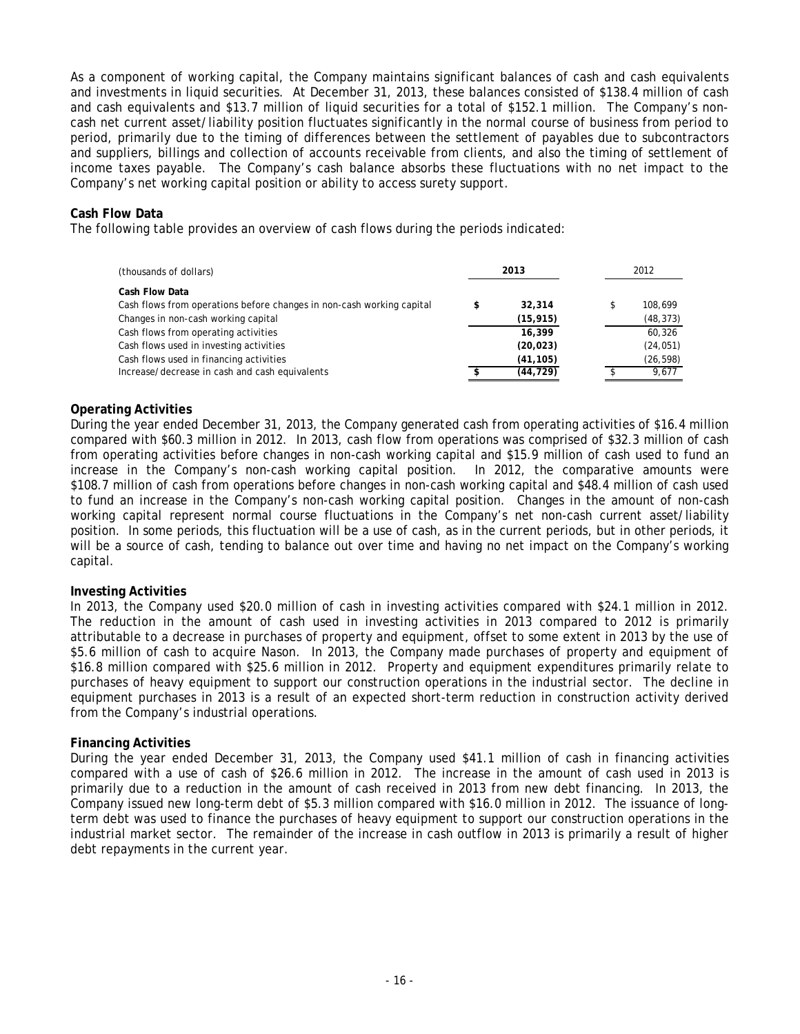As a component of working capital, the Company maintains significant balances of cash and cash equivalents and investments in liquid securities. At December 31, 2013, these balances consisted of \$138.4 million of cash and cash equivalents and \$13.7 million of liquid securities for a total of \$152.1 million. The Company's noncash net current asset/liability position fluctuates significantly in the normal course of business from period to period, primarily due to the timing of differences between the settlement of payables due to subcontractors and suppliers, billings and collection of accounts receivable from clients, and also the timing of settlement of income taxes payable. The Company's cash balance absorbs these fluctuations with no net impact to the Company's net working capital position or ability to access surety support.

#### **Cash Flow Data**

The following table provides an overview of cash flows during the periods indicated:

| (thousands of dollars)                                                                  | 2013 |           | 2012 |           |
|-----------------------------------------------------------------------------------------|------|-----------|------|-----------|
| Cash Flow Data<br>Cash flows from operations before changes in non-cash working capital | \$   | 32,314    | \$   | 108.699   |
| Changes in non-cash working capital                                                     |      | (15, 915) |      | (48, 373) |
| Cash flows from operating activities                                                    |      | 16,399    |      | 60,326    |
| Cash flows used in investing activities                                                 |      | (20, 023) |      | (24, 051) |
| Cash flows used in financing activities                                                 |      | (41, 105) |      | (26, 598) |
| Increase/decrease in cash and cash equivalents                                          |      | (44, 729) |      | 9,677     |

#### **Operating Activities**

During the year ended December 31, 2013, the Company generated cash from operating activities of \$16.4 million compared with \$60.3 million in 2012. In 2013, cash flow from operations was comprised of \$32.3 million of cash from operating activities before changes in non-cash working capital and \$15.9 million of cash used to fund an increase in the Company's non-cash working capital position. In 2012, the comparative amounts were \$108.7 million of cash from operations before changes in non-cash working capital and \$48.4 million of cash used to fund an increase in the Company's non-cash working capital position. Changes in the amount of non-cash working capital represent normal course fluctuations in the Company's net non-cash current asset/liability position. In some periods, this fluctuation will be a use of cash, as in the current periods, but in other periods, it will be a source of cash, tending to balance out over time and having no net impact on the Company's working capital.

#### **Investing Activities**

In 2013, the Company used \$20.0 million of cash in investing activities compared with \$24.1 million in 2012. The reduction in the amount of cash used in investing activities in 2013 compared to 2012 is primarily attributable to a decrease in purchases of property and equipment, offset to some extent in 2013 by the use of \$5.6 million of cash to acquire Nason. In 2013, the Company made purchases of property and equipment of \$16.8 million compared with \$25.6 million in 2012. Property and equipment expenditures primarily relate to purchases of heavy equipment to support our construction operations in the industrial sector. The decline in equipment purchases in 2013 is a result of an expected short-term reduction in construction activity derived from the Company's industrial operations.

#### **Financing Activities**

During the year ended December 31, 2013, the Company used \$41.1 million of cash in financing activities compared with a use of cash of \$26.6 million in 2012. The increase in the amount of cash used in 2013 is primarily due to a reduction in the amount of cash received in 2013 from new debt financing. In 2013, the Company issued new long-term debt of \$5.3 million compared with \$16.0 million in 2012. The issuance of longterm debt was used to finance the purchases of heavy equipment to support our construction operations in the industrial market sector. The remainder of the increase in cash outflow in 2013 is primarily a result of higher debt repayments in the current year.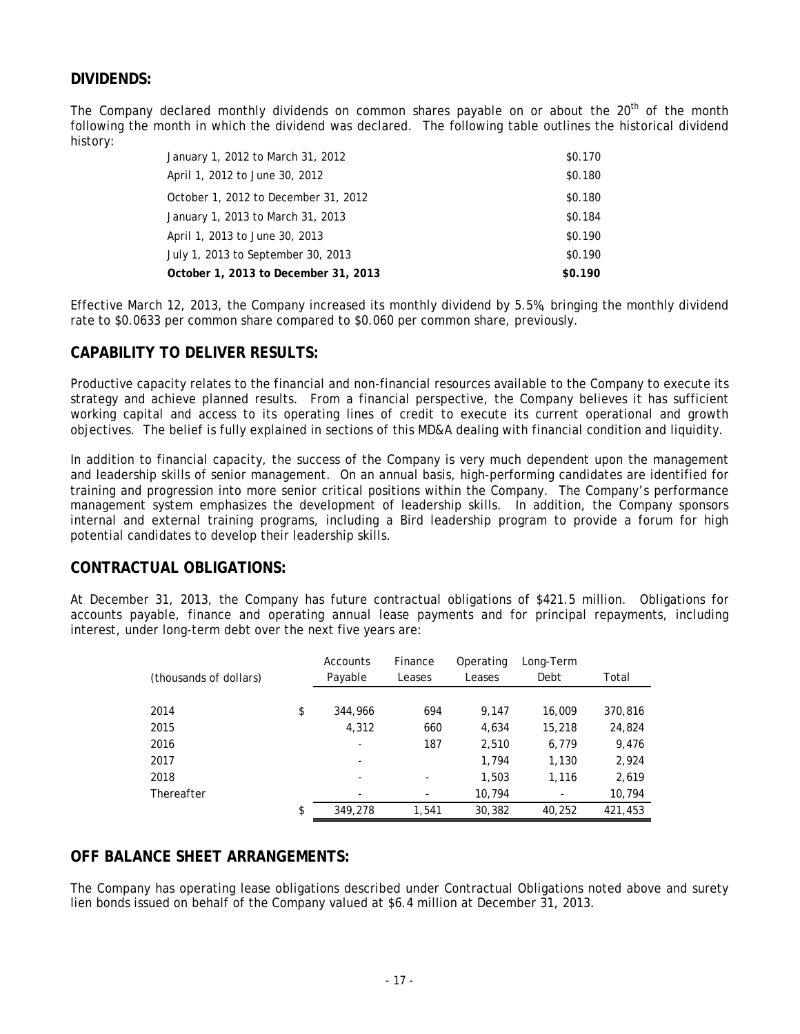# **DIVIDENDS:**

The Company declared monthly dividends on common shares payable on or about the  $20<sup>th</sup>$  of the month following the month in which the dividend was declared. The following table outlines the historical dividend history:

| January 1, 2012 to March 31, 2012    | \$0.170 |
|--------------------------------------|---------|
| April 1, 2012 to June 30, 2012       | \$0.180 |
| October 1, 2012 to December 31, 2012 | \$0.180 |
| January 1, 2013 to March 31, 2013    | \$0.184 |
| April 1, 2013 to June 30, 2013       | \$0.190 |
| July 1, 2013 to September 30, 2013   | \$0.190 |
| October 1, 2013 to December 31, 2013 | \$0.190 |

Effective March 12, 2013, the Company increased its monthly dividend by 5.5%, bringing the monthly dividend rate to \$0.0633 per common share compared to \$0.060 per common share, previously.

### **CAPABILITY TO DELIVER RESULTS:**

Productive capacity relates to the financial and non-financial resources available to the Company to execute its strategy and achieve planned results. From a financial perspective, the Company believes it has sufficient working capital and access to its operating lines of credit to execute its current operational and growth objectives. The belief is fully explained in sections of this MD&A dealing with financial condition and liquidity.

In addition to financial capacity, the success of the Company is very much dependent upon the management and leadership skills of senior management. On an annual basis, high-performing candidates are identified for training and progression into more senior critical positions within the Company. The Company's performance management system emphasizes the development of leadership skills. In addition, the Company sponsors internal and external training programs, including a Bird leadership program to provide a forum for high potential candidates to develop their leadership skills.

### **CONTRACTUAL OBLIGATIONS:**

At December 31, 2013, the Company has future contractual obligations of \$421.5 million. Obligations for accounts payable, finance and operating annual lease payments and for principal repayments, including interest, under long-term debt over the next five years are:

| (thousands of dollars) | Accounts<br>Payable      | Finance<br>Leases | Operating<br>Leases | Long-Term<br>Debt | Total   |
|------------------------|--------------------------|-------------------|---------------------|-------------------|---------|
|                        |                          |                   |                     |                   |         |
| 2014                   | \$<br>344,966            | 694               | 9,147               | 16,009            | 370,816 |
| 2015                   | 4,312                    | 660               | 4,634               | 15,218            | 24,824  |
| 2016                   | ۰                        | 187               | 2,510               | 6,779             | 9,476   |
| 2017                   | $\overline{\phantom{a}}$ |                   | 1,794               | 1,130             | 2,924   |
| 2018                   | ۰                        | ۰                 | 1,503               | 1,116             | 2,619   |
| Thereafter             | ۰                        |                   | 10,794              |                   | 10,794  |
|                        | \$<br>349,278            | 1,541             | 30,382              | 40.252            | 421,453 |

### **OFF BALANCE SHEET ARRANGEMENTS:**

The Company has operating lease obligations described under Contractual Obligations noted above and surety lien bonds issued on behalf of the Company valued at \$6.4 million at December 31, 2013.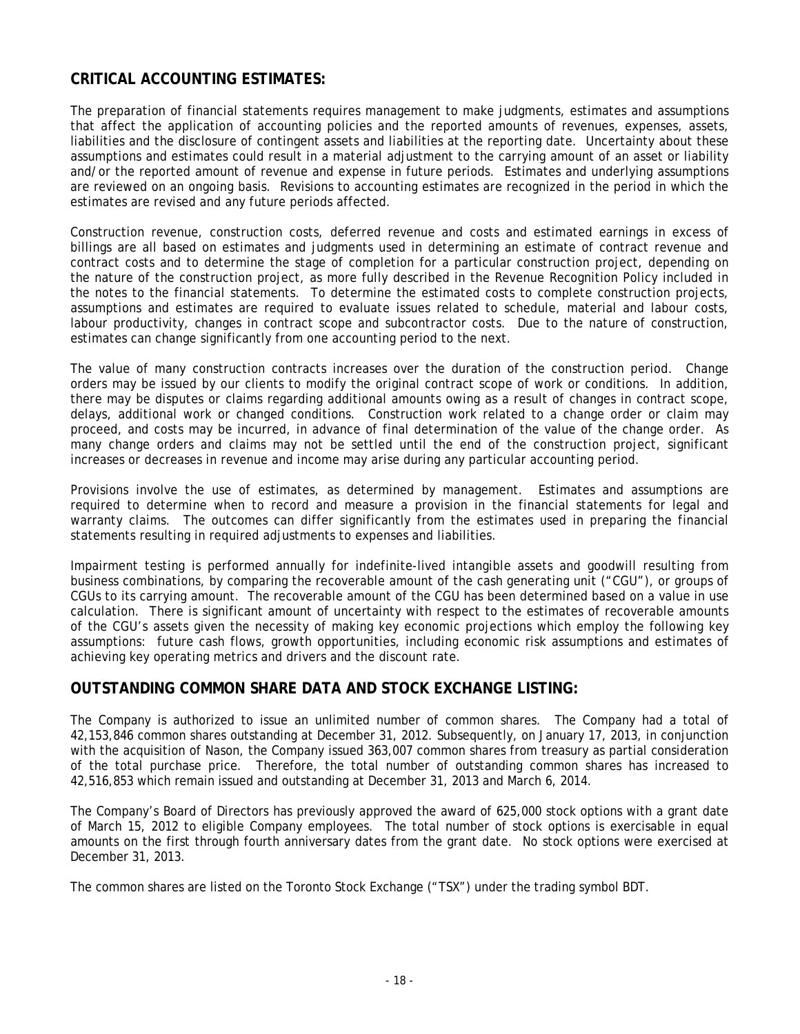# **CRITICAL ACCOUNTING ESTIMATES:**

The preparation of financial statements requires management to make judgments, estimates and assumptions that affect the application of accounting policies and the reported amounts of revenues, expenses, assets, liabilities and the disclosure of contingent assets and liabilities at the reporting date. Uncertainty about these assumptions and estimates could result in a material adjustment to the carrying amount of an asset or liability and/or the reported amount of revenue and expense in future periods. Estimates and underlying assumptions are reviewed on an ongoing basis. Revisions to accounting estimates are recognized in the period in which the estimates are revised and any future periods affected.

Construction revenue, construction costs, deferred revenue and costs and estimated earnings in excess of billings are all based on estimates and judgments used in determining an estimate of contract revenue and contract costs and to determine the stage of completion for a particular construction project, depending on the nature of the construction project, as more fully described in the Revenue Recognition Policy included in the notes to the financial statements. To determine the estimated costs to complete construction projects, assumptions and estimates are required to evaluate issues related to schedule, material and labour costs, labour productivity, changes in contract scope and subcontractor costs. Due to the nature of construction, estimates can change significantly from one accounting period to the next.

The value of many construction contracts increases over the duration of the construction period. Change orders may be issued by our clients to modify the original contract scope of work or conditions. In addition, there may be disputes or claims regarding additional amounts owing as a result of changes in contract scope, delays, additional work or changed conditions. Construction work related to a change order or claim may proceed, and costs may be incurred, in advance of final determination of the value of the change order. As many change orders and claims may not be settled until the end of the construction project, significant increases or decreases in revenue and income may arise during any particular accounting period.

Provisions involve the use of estimates, as determined by management. Estimates and assumptions are required to determine when to record and measure a provision in the financial statements for legal and warranty claims. The outcomes can differ significantly from the estimates used in preparing the financial statements resulting in required adjustments to expenses and liabilities.

Impairment testing is performed annually for indefinite-lived intangible assets and goodwill resulting from business combinations, by comparing the recoverable amount of the cash generating unit ("CGU"), or groups of CGUs to its carrying amount. The recoverable amount of the CGU has been determined based on a value in use calculation. There is significant amount of uncertainty with respect to the estimates of recoverable amounts of the CGU's assets given the necessity of making key economic projections which employ the following key assumptions: future cash flows, growth opportunities, including economic risk assumptions and estimates of achieving key operating metrics and drivers and the discount rate.

### **OUTSTANDING COMMON SHARE DATA AND STOCK EXCHANGE LISTING:**

The Company is authorized to issue an unlimited number of common shares. The Company had a total of 42,153,846 common shares outstanding at December 31, 2012. Subsequently, on January 17, 2013, in conjunction with the acquisition of Nason, the Company issued 363,007 common shares from treasury as partial consideration of the total purchase price. Therefore, the total number of outstanding common shares has increased to 42,516,853 which remain issued and outstanding at December 31, 2013 and March 6, 2014.

The Company's Board of Directors has previously approved the award of 625,000 stock options with a grant date of March 15, 2012 to eligible Company employees. The total number of stock options is exercisable in equal amounts on the first through fourth anniversary dates from the grant date. No stock options were exercised at December 31, 2013.

The common shares are listed on the Toronto Stock Exchange ("TSX") under the trading symbol BDT.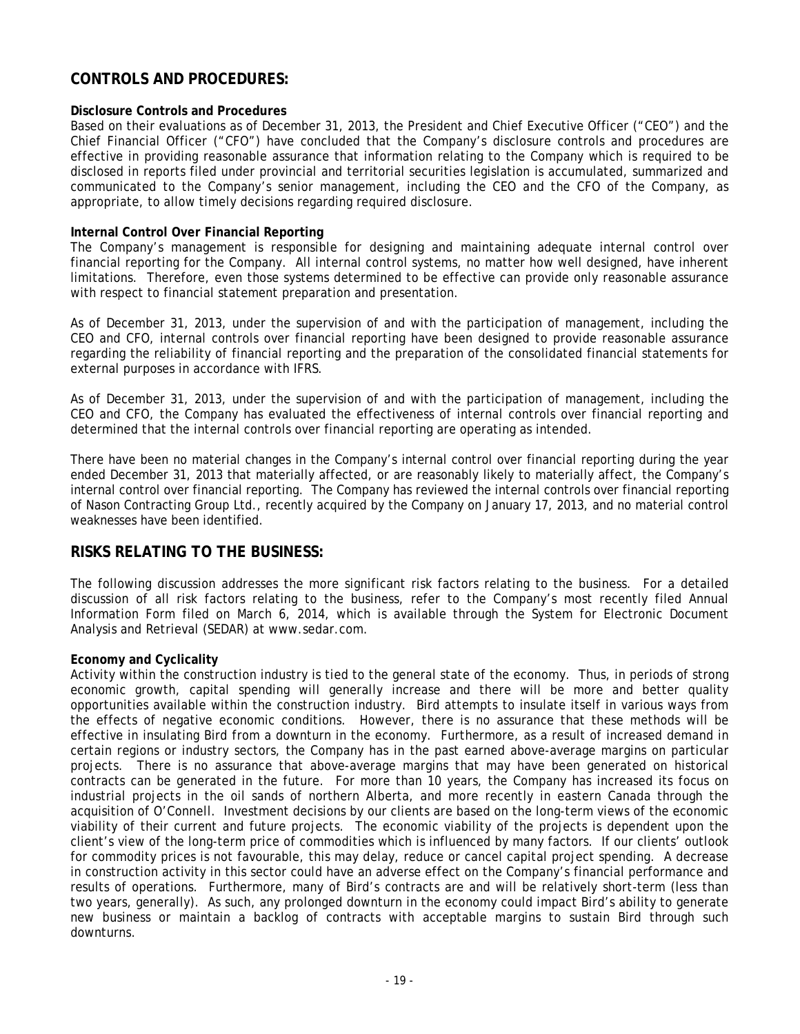# **CONTROLS AND PROCEDURES:**

#### **Disclosure Controls and Procedures**

Based on their evaluations as of December 31, 2013, the President and Chief Executive Officer ("CEO") and the Chief Financial Officer ("CFO") have concluded that the Company's disclosure controls and procedures are effective in providing reasonable assurance that information relating to the Company which is required to be disclosed in reports filed under provincial and territorial securities legislation is accumulated, summarized and communicated to the Company's senior management, including the CEO and the CFO of the Company, as appropriate, to allow timely decisions regarding required disclosure.

#### **Internal Control Over Financial Reporting**

The Company's management is responsible for designing and maintaining adequate internal control over financial reporting for the Company. All internal control systems, no matter how well designed, have inherent limitations. Therefore, even those systems determined to be effective can provide only reasonable assurance with respect to financial statement preparation and presentation.

As of December 31, 2013, under the supervision of and with the participation of management, including the CEO and CFO, internal controls over financial reporting have been designed to provide reasonable assurance regarding the reliability of financial reporting and the preparation of the consolidated financial statements for external purposes in accordance with IFRS.

As of December 31, 2013, under the supervision of and with the participation of management, including the CEO and CFO, the Company has evaluated the effectiveness of internal controls over financial reporting and determined that the internal controls over financial reporting are operating as intended.

There have been no material changes in the Company's internal control over financial reporting during the year ended December 31, 2013 that materially affected, or are reasonably likely to materially affect, the Company's internal control over financial reporting. The Company has reviewed the internal controls over financial reporting of Nason Contracting Group Ltd., recently acquired by the Company on January 17, 2013, and no material control weaknesses have been identified.

### **RISKS RELATING TO THE BUSINESS:**

The following discussion addresses the more significant risk factors relating to the business. For a detailed discussion of all risk factors relating to the business, refer to the Company's most recently filed Annual Information Form filed on March 6, 2014, which is available through the System for Electronic Document Analysis and Retrieval (SEDAR) at www.sedar.com.

#### **Economy and Cyclicality**

Activity within the construction industry is tied to the general state of the economy. Thus, in periods of strong economic growth, capital spending will generally increase and there will be more and better quality opportunities available within the construction industry. Bird attempts to insulate itself in various ways from the effects of negative economic conditions. However, there is no assurance that these methods will be effective in insulating Bird from a downturn in the economy. Furthermore, as a result of increased demand in certain regions or industry sectors, the Company has in the past earned above-average margins on particular projects. There is no assurance that above-average margins that may have been generated on historical contracts can be generated in the future. For more than 10 years, the Company has increased its focus on industrial projects in the oil sands of northern Alberta, and more recently in eastern Canada through the acquisition of O'Connell. Investment decisions by our clients are based on the long-term views of the economic viability of their current and future projects. The economic viability of the projects is dependent upon the client's view of the long-term price of commodities which is influenced by many factors. If our clients' outlook for commodity prices is not favourable, this may delay, reduce or cancel capital project spending. A decrease in construction activity in this sector could have an adverse effect on the Company's financial performance and results of operations. Furthermore, many of Bird's contracts are and will be relatively short-term (less than two years, generally). As such, any prolonged downturn in the economy could impact Bird's ability to generate new business or maintain a backlog of contracts with acceptable margins to sustain Bird through such downturns.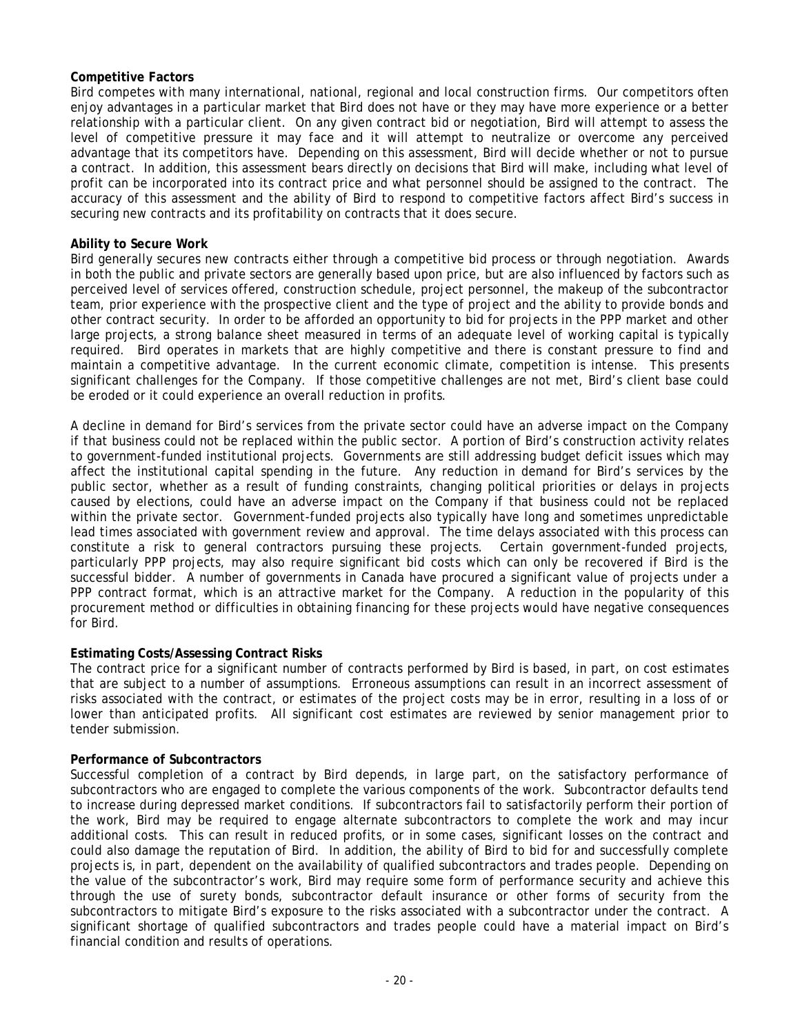#### **Competitive Factors**

Bird competes with many international, national, regional and local construction firms. Our competitors often enjoy advantages in a particular market that Bird does not have or they may have more experience or a better relationship with a particular client. On any given contract bid or negotiation, Bird will attempt to assess the level of competitive pressure it may face and it will attempt to neutralize or overcome any perceived advantage that its competitors have. Depending on this assessment, Bird will decide whether or not to pursue a contract. In addition, this assessment bears directly on decisions that Bird will make, including what level of profit can be incorporated into its contract price and what personnel should be assigned to the contract. The accuracy of this assessment and the ability of Bird to respond to competitive factors affect Bird's success in securing new contracts and its profitability on contracts that it does secure.

#### **Ability to Secure Work**

Bird generally secures new contracts either through a competitive bid process or through negotiation. Awards in both the public and private sectors are generally based upon price, but are also influenced by factors such as perceived level of services offered, construction schedule, project personnel, the makeup of the subcontractor team, prior experience with the prospective client and the type of project and the ability to provide bonds and other contract security. In order to be afforded an opportunity to bid for projects in the PPP market and other large projects, a strong balance sheet measured in terms of an adequate level of working capital is typically required. Bird operates in markets that are highly competitive and there is constant pressure to find and maintain a competitive advantage. In the current economic climate, competition is intense. This presents significant challenges for the Company. If those competitive challenges are not met, Bird's client base could be eroded or it could experience an overall reduction in profits.

A decline in demand for Bird's services from the private sector could have an adverse impact on the Company if that business could not be replaced within the public sector. A portion of Bird's construction activity relates to government-funded institutional projects. Governments are still addressing budget deficit issues which may affect the institutional capital spending in the future. Any reduction in demand for Bird's services by the public sector, whether as a result of funding constraints, changing political priorities or delays in projects caused by elections, could have an adverse impact on the Company if that business could not be replaced within the private sector. Government-funded projects also typically have long and sometimes unpredictable lead times associated with government review and approval. The time delays associated with this process can constitute a risk to general contractors pursuing these projects. Certain government-funded projects, particularly PPP projects, may also require significant bid costs which can only be recovered if Bird is the successful bidder. A number of governments in Canada have procured a significant value of projects under a PPP contract format, which is an attractive market for the Company. A reduction in the popularity of this procurement method or difficulties in obtaining financing for these projects would have negative consequences for Bird.

#### **Estimating Costs/Assessing Contract Risks**

The contract price for a significant number of contracts performed by Bird is based, in part, on cost estimates that are subject to a number of assumptions. Erroneous assumptions can result in an incorrect assessment of risks associated with the contract, or estimates of the project costs may be in error, resulting in a loss of or lower than anticipated profits. All significant cost estimates are reviewed by senior management prior to tender submission.

#### **Performance of Subcontractors**

Successful completion of a contract by Bird depends, in large part, on the satisfactory performance of subcontractors who are engaged to complete the various components of the work. Subcontractor defaults tend to increase during depressed market conditions. If subcontractors fail to satisfactorily perform their portion of the work, Bird may be required to engage alternate subcontractors to complete the work and may incur additional costs. This can result in reduced profits, or in some cases, significant losses on the contract and could also damage the reputation of Bird. In addition, the ability of Bird to bid for and successfully complete projects is, in part, dependent on the availability of qualified subcontractors and trades people. Depending on the value of the subcontractor's work, Bird may require some form of performance security and achieve this through the use of surety bonds, subcontractor default insurance or other forms of security from the subcontractors to mitigate Bird's exposure to the risks associated with a subcontractor under the contract. A significant shortage of qualified subcontractors and trades people could have a material impact on Bird's financial condition and results of operations.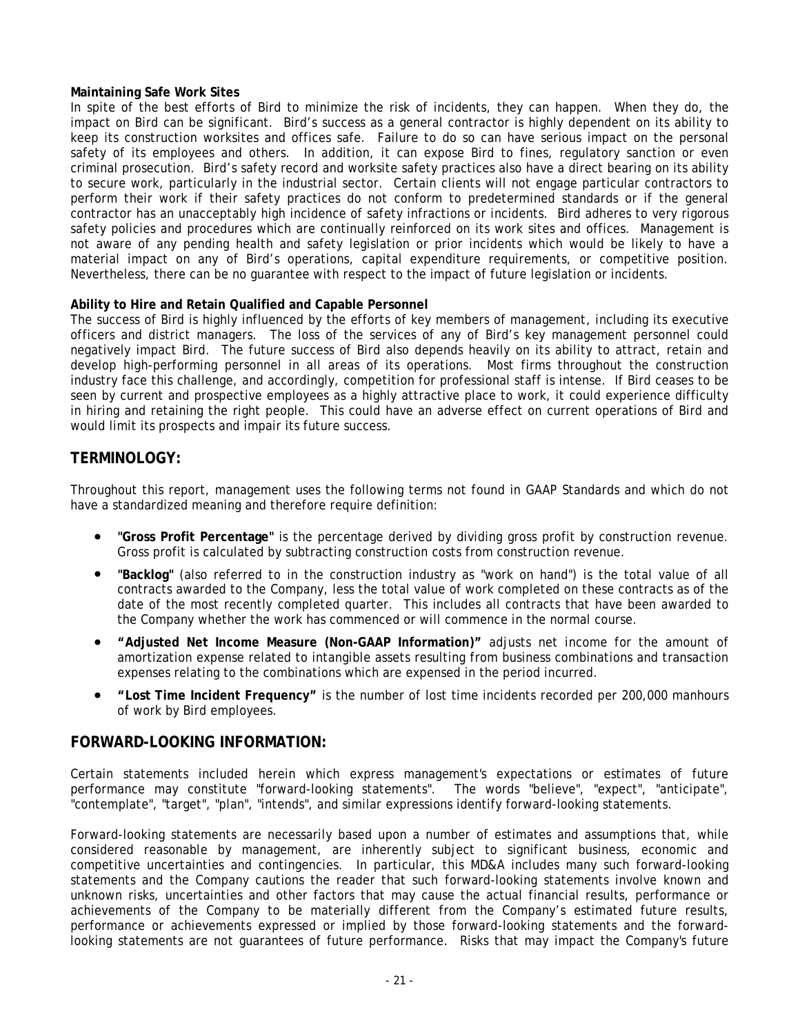#### **Maintaining Safe Work Sites**

In spite of the best efforts of Bird to minimize the risk of incidents, they can happen. When they do, the impact on Bird can be significant. Bird's success as a general contractor is highly dependent on its ability to keep its construction worksites and offices safe. Failure to do so can have serious impact on the personal safety of its employees and others. In addition, it can expose Bird to fines, regulatory sanction or even criminal prosecution. Bird's safety record and worksite safety practices also have a direct bearing on its ability to secure work, particularly in the industrial sector. Certain clients will not engage particular contractors to perform their work if their safety practices do not conform to predetermined standards or if the general contractor has an unacceptably high incidence of safety infractions or incidents. Bird adheres to very rigorous safety policies and procedures which are continually reinforced on its work sites and offices. Management is not aware of any pending health and safety legislation or prior incidents which would be likely to have a material impact on any of Bird's operations, capital expenditure requirements, or competitive position. Nevertheless, there can be no guarantee with respect to the impact of future legislation or incidents.

#### **Ability to Hire and Retain Qualified and Capable Personnel**

The success of Bird is highly influenced by the efforts of key members of management, including its executive officers and district managers. The loss of the services of any of Bird's key management personnel could negatively impact Bird. The future success of Bird also depends heavily on its ability to attract, retain and develop high-performing personnel in all areas of its operations. Most firms throughout the construction industry face this challenge, and accordingly, competition for professional staff is intense. If Bird ceases to be seen by current and prospective employees as a highly attractive place to work, it could experience difficulty in hiring and retaining the right people. This could have an adverse effect on current operations of Bird and would limit its prospects and impair its future success.

### **TERMINOLOGY:**

Throughout this report, management uses the following terms not found in GAAP Standards and which do not have a standardized meaning and therefore require definition:

- **"Gross Profit Percentage"** is the percentage derived by dividing gross profit by construction revenue. Gross profit is calculated by subtracting construction costs from construction revenue.
- **"Backlog"** (also referred to in the construction industry as "work on hand") is the total value of all contracts awarded to the Company, less the total value of work completed on these contracts as of the date of the most recently completed quarter. This includes all contracts that have been awarded to the Company whether the work has commenced or will commence in the normal course.
- **"Adjusted Net Income Measure (Non-GAAP Information)"** adjusts net income for the amount of amortization expense related to intangible assets resulting from business combinations and transaction expenses relating to the combinations which are expensed in the period incurred.
- **"Lost Time Incident Frequency"** is the number of lost time incidents recorded per 200,000 manhours of work by Bird employees.

#### **FORWARD-LOOKING INFORMATION:**

Certain statements included herein which express management's expectations or estimates of future performance may constitute "forward-looking statements". The words "believe", "expect", "anticipate", "contemplate", "target", "plan", "intends", and similar expressions identify forward-looking statements.

Forward-looking statements are necessarily based upon a number of estimates and assumptions that, while considered reasonable by management, are inherently subject to significant business, economic and competitive uncertainties and contingencies. In particular, this MD&A includes many such forward-looking statements and the Company cautions the reader that such forward-looking statements involve known and unknown risks, uncertainties and other factors that may cause the actual financial results, performance or achievements of the Company to be materially different from the Company's estimated future results, performance or achievements expressed or implied by those forward-looking statements and the forwardlooking statements are not guarantees of future performance. Risks that may impact the Company's future